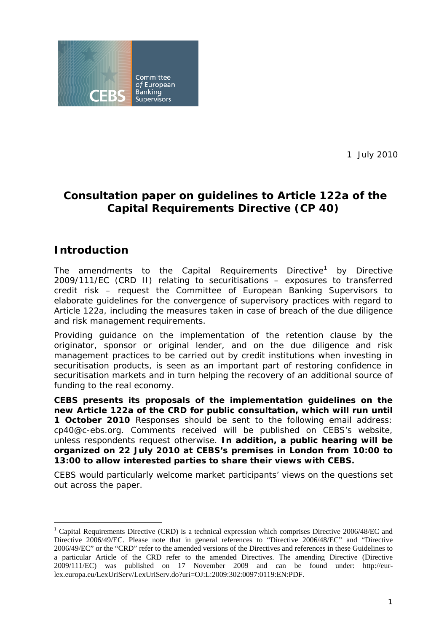<span id="page-0-1"></span>

1 July 2010

# **Consultation paper on guidelines to Article 122a of the Capital Requirements Directive (CP 40)**

## **Introduction**

The amendments to the Capital Requirements Directive<sup>[1](#page-0-0)</sup> by Directive 2009/111/EC (CRD II) relating to securitisations – exposures to transferred credit risk – request the Committee of European Banking Supervisors to elaborate guidelines for the convergence of supervisory practices with regard to Article 122a, including the measures taken in case of breach of the due diligence and risk management requirements.

Providing guidance on the implementation of the retention clause by the originator, sponsor or original lender, and on the due diligence and risk management practices to be carried out by credit institutions when investing in securitisation products, is seen as an important part of restoring confidence in securitisation markets and in turn helping the recovery of an additional source of funding to the real economy.

**CEBS presents its proposals of the implementation guidelines on the new Article 122a of the CRD for public consultation, which will run until 1 October 2010** Responses should be sent to the following email address: cp40@c-ebs.org. Comments received will be published on CEBS's website, unless respondents request otherwise. **In addition, a public hearing will be organized on 22 July 2010 at CEBS's premises in London from 10:00 to 13:00 to allow interested parties to share their views with CEBS.** 

CEBS would particularly welcome market participants' views on the questions set out across the paper.

<span id="page-0-0"></span><sup>1</sup> <sup>1</sup> Capital Requirements Directive (CRD) is a technical expression which comprises Directive 2006/48/EC and Directive 2006/49/EC. Please note that in general references to "Directive 2006/48/EC" and "Directive 2006/49/EC" or the "CRD" refer to the amended versions of the Directives and references in these Guidelines to a particular Article of the CRD refer to the amended Directives. The amending Directive (Directive 2009/111/EC) was published on 17 November 2009 and can be found under: http://eurlex.europa.eu/LexUriServ/LexUriServ.do?uri=OJ:L:2009:302:0097:0119:EN:PDF.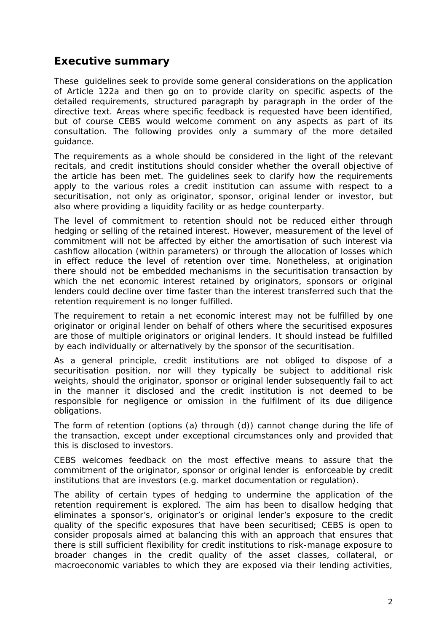## <span id="page-1-0"></span>**Executive summary**

These guidelines seek to provide some general considerations on the application of Article 122a and then go on to provide clarity on specific aspects of the detailed requirements, structured paragraph by paragraph in the order of the directive text. Areas where specific feedback is requested have been identified, but of course CEBS would welcome comment on any aspects as part of its consultation. The following provides only a summary of the more detailed guidance.

The requirements as a whole should be considered in the light of the relevant recitals, and credit institutions should consider whether the overall objective of the article has been met. The guidelines seek to clarify how the requirements apply to the various roles a credit institution can assume with respect to a securitisation, not only as originator, sponsor, original lender or investor, but also where providing a liquidity facility or as hedge counterparty.

The level of commitment to retention should not be reduced either through hedging or selling of the retained interest. However, measurement of the level of commitment will not be affected by either the amortisation of such interest via cashflow allocation (within parameters) or through the allocation of losses which in effect reduce the level of retention over time. Nonetheless, at origination there should not be embedded mechanisms in the securitisation transaction by which the net economic interest retained by originators, sponsors or original lenders could decline over time faster than the interest transferred such that the retention requirement is no longer fulfilled.

The requirement to retain a net economic interest may not be fulfilled by one originator or original lender on behalf of others where the securitised exposures are those of multiple originators or original lenders. It should instead be fulfilled by each individually or alternatively by the sponsor of the securitisation.

As a general principle, credit institutions are not obliged to dispose of a securitisation position, nor will they typically be subject to additional risk weights, should the originator, sponsor or original lender subsequently fail to act in the manner it disclosed and the credit institution is not deemed to be responsible for negligence or omission in the fulfilment of its due diligence obligations.

The form of retention (options (a) through (d)) cannot change during the life of the transaction, except under exceptional circumstances only and provided that this is disclosed to investors.

CEBS welcomes feedback on the most effective means to assure that the commitment of the originator, sponsor or original lender is enforceable by credit institutions that are investors (e.g. market documentation or regulation).

The ability of certain types of hedging to undermine the application of the retention requirement is explored. The aim has been to disallow hedging that eliminates a sponsor's, originator's or original lender's exposure to the credit quality of the specific exposures that have been securitised; CEBS is open to consider proposals aimed at balancing this with an approach that ensures that there is still sufficient flexibility for credit institutions to risk-manage exposure to broader changes in the credit quality of the asset classes, collateral, or macroeconomic variables to which they are exposed via their lending activities,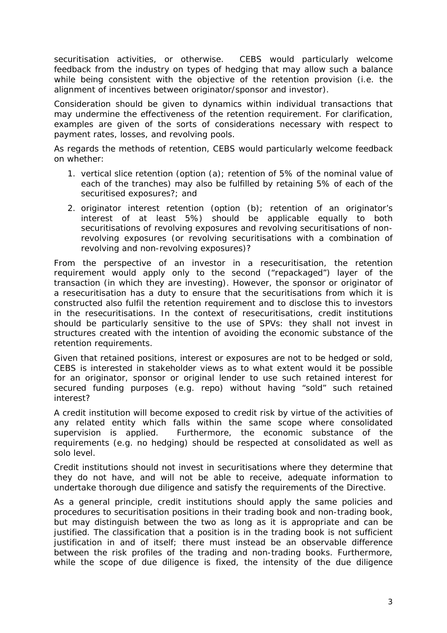securitisation activities, or otherwise. CEBS would particularly welcome feedback from the industry on types of hedging that may allow such a balance while being consistent with the objective of the retention provision (i.e. the alignment of incentives between originator/sponsor and investor).

Consideration should be given to dynamics within individual transactions that may undermine the effectiveness of the retention requirement. For clarification, examples are given of the sorts of considerations necessary with respect to payment rates, losses, and revolving pools.

As regards the methods of retention, CEBS would particularly welcome feedback on whether:

- 1. vertical slice retention (option (a); retention of 5% of the nominal value of each of the tranches) may also be fulfilled by retaining 5% of each of the securitised exposures?; and
- 2. originator interest retention (option (b); retention of an originator's interest of at least 5%) should be applicable equally to both securitisations of revolving exposures and revolving securitisations of nonrevolving exposures (or revolving securitisations with a combination of revolving and non-revolving exposures)?

From the perspective of an investor in a resecuritisation, the retention requirement would apply only to the second ("repackaged") layer of the transaction (in which they are investing). However, the sponsor or originator of a resecuritisation has a duty to ensure that the securitisations from which it is constructed also fulfil the retention requirement and to disclose this to investors in the resecuritisations. In the context of resecuritisations, credit institutions should be particularly sensitive to the use of SPVs: they shall not invest in structures created with the intention of avoiding the economic substance of the retention requirements.

Given that retained positions, interest or exposures are not to be hedged or sold, CEBS is interested in stakeholder views as to what extent would it be possible for an originator, sponsor or original lender to use such retained interest for secured funding purposes (e.g. repo) without having "sold" such retained interest?

A credit institution will become exposed to credit risk by virtue of the activities of any related entity which falls within the same scope where consolidated supervision is applied. Furthermore, the economic substance of the requirements (e.g. no hedging) should be respected at consolidated as well as solo level.

Credit institutions should not invest in securitisations where they determine that they do not have, and will not be able to receive, adequate information to undertake thorough due diligence and satisfy the requirements of the Directive.

As a general principle, credit institutions should apply the same policies and procedures to securitisation positions in their trading book and non-trading book, but may distinguish between the two as long as it is appropriate and can be justified. The classification that a position is in the trading book is not sufficient justification in and of itself; there must instead be an observable difference between the risk profiles of the trading and non-trading books. Furthermore, while the scope of due diligence is fixed, the intensity of the due diligence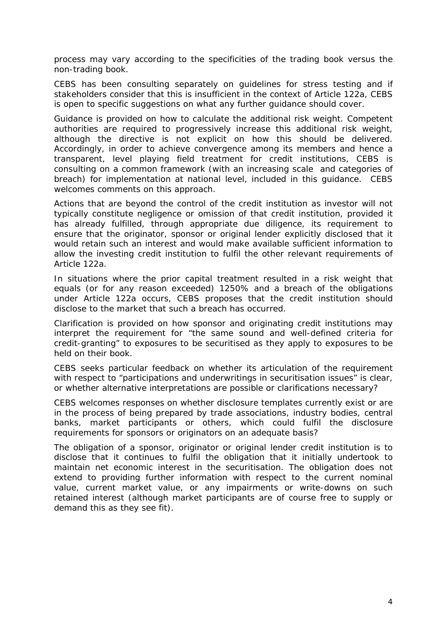process may vary according to the specificities of the trading book versus the non-trading book.

CEBS has been consulting separately on guidelines for stress testing and if stakeholders consider that this is insufficient in the context of Article 122a, CEBS is open to specific suggestions on what any further guidance should cover.

Guidance is provided on how to calculate the additional risk weight. Competent authorities are required to progressively increase this additional risk weight, although the directive is not explicit on how this should be delivered. Accordingly, in order to achieve convergence among its members and hence a transparent, level playing field treatment for credit institutions, CEBS is consulting on a common framework (with an increasing scale and categories of breach) for implementation at national level, included in this guidance. CEBS welcomes comments on this approach.

Actions that are beyond the control of the credit institution as investor will not typically constitute negligence or omission of that credit institution, provided it has already fulfilled, through appropriate due diligence, its requirement to ensure that the originator, sponsor or original lender explicitly disclosed that it would retain such an interest and would make available sufficient information to allow the investing credit institution to fulfil the other relevant requirements of Article 122a.

In situations where the prior capital treatment resulted in a risk weight that equals (or for any reason exceeded) 1250% and a breach of the obligations under Article 122a occurs, CEBS proposes that the credit institution should disclose to the market that such a breach has occurred.

Clarification is provided on how sponsor and originating credit institutions may interpret the requirement for "the same sound and well-defined criteria for credit-granting" to exposures to be securitised as they apply to exposures to be held on their book.

CEBS seeks particular feedback on whether its articulation of the requirement with respect to "participations and underwritings in securitisation issues" is clear, or whether alternative interpretations are possible or clarifications necessary?

CEBS welcomes responses on whether disclosure templates currently exist or are in the process of being prepared by trade associations, industry bodies, central banks, market participants or others, which could fulfil the disclosure requirements for sponsors or originators on an adequate basis?

The obligation of a sponsor, originator or original lender credit institution is to disclose that it continues to fulfil the obligation that it initially undertook to maintain net economic interest in the securitisation. The obligation does not extend to providing further information with respect to the current nominal value, current market value, or any impairments or write-downs on such retained interest (although market participants are of course free to supply or demand this as they see fit).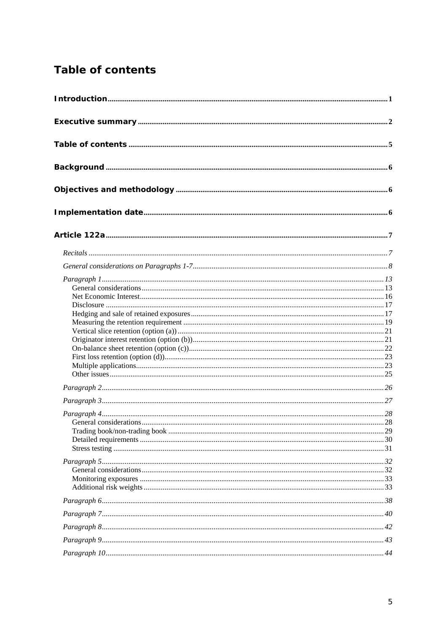# <span id="page-4-0"></span>**Table of contents**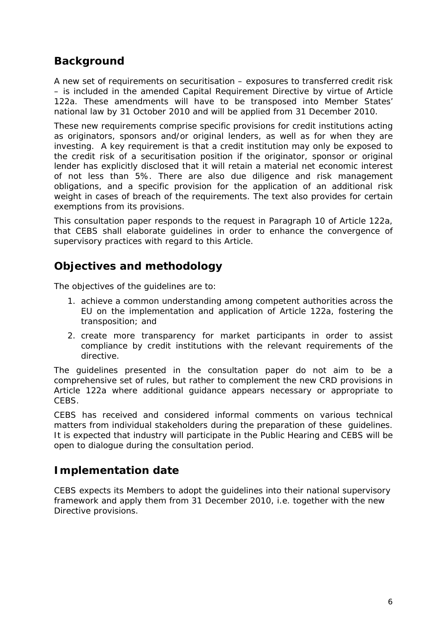# <span id="page-5-0"></span>**Background**

A new set of requirements on securitisation – exposures to transferred credit risk – is included in the amended Capital Requirement Directive by virtue of Article 122a. These amendments will have to be transposed into Member States' national law by 31 October 2010 and will be applied from 31 December 2010.

These new requirements comprise specific provisions for credit institutions acting as originators, sponsors and/or original lenders, as well as for when they are investing. A key requirement is that a credit institution may only be exposed to the credit risk of a securitisation position if the originator, sponsor or original lender has explicitly disclosed that it will retain a material net economic interest of not less than 5%. There are also due diligence and risk management obligations, and a specific provision for the application of an additional risk weight in cases of breach of the requirements. The text also provides for certain exemptions from its provisions.

This consultation paper responds to the request in Paragraph 10 of Article 122a, that CEBS shall elaborate guidelines in order to enhance the convergence of supervisory practices with regard to this Article.

## **Objectives and methodology**

The objectives of the guidelines are to:

- 1. achieve a common understanding among competent authorities across the EU on the implementation and application of Article 122a, fostering the transposition; and
- 2. create more transparency for market participants in order to assist compliance by credit institutions with the relevant requirements of the directive.

The guidelines presented in the consultation paper do not aim to be a comprehensive set of rules, but rather to complement the new CRD provisions in Article 122a where additional guidance appears necessary or appropriate to CEBS.

CEBS has received and considered informal comments on various technical matters from individual stakeholders during the preparation of these guidelines. It is expected that industry will participate in the Public Hearing and CEBS will be open to dialogue during the consultation period.

## **Implementation date**

CEBS expects its Members to adopt the guidelines into their national supervisory framework and apply them from 31 December 2010, i.e. together with the new Directive provisions.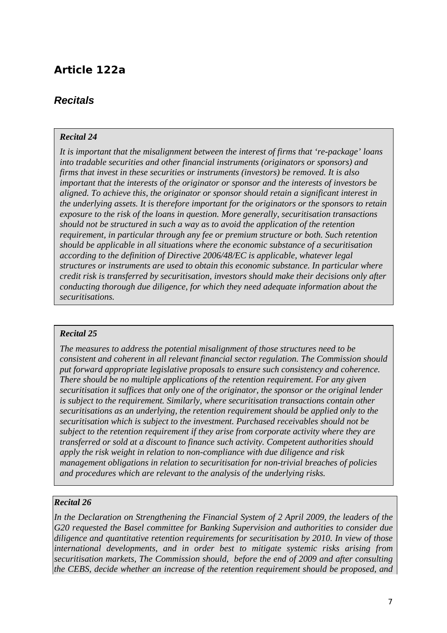## <span id="page-6-0"></span>**Article 122a**

## *Recitals*

#### *Recital 24*

*It is important that the misalignment between the interest of firms that 're-package' loans into tradable securities and other financial instruments (originators or sponsors) and firms that invest in these securities or instruments (investors) be removed. It is also important that the interests of the originator or sponsor and the interests of investors be aligned. To achieve this, the originator or sponsor should retain a significant interest in the underlying assets. It is therefore important for the originators or the sponsors to retain exposure to the risk of the loans in question. More generally, securitisation transactions should not be structured in such a way as to avoid the application of the retention requirement, in particular through any fee or premium structure or both. Such retention should be applicable in all situations where the economic substance of a securitisation according to the definition of Directive 2006/48/EC is applicable, whatever legal structures or instruments are used to obtain this economic substance. In particular where credit risk is transferred by securitisation, investors should make their decisions only after conducting thorough due diligence, for which they need adequate information about the securitisations.* 

#### *Recital 25*

*The measures to address the potential misalignment of those structures need to be consistent and coherent in all relevant financial sector regulation. The Commission should put forward appropriate legislative proposals to ensure such consistency and coherence. There should be no multiple applications of the retention requirement. For any given securitisation it suffices that only one of the originator, the sponsor or the original lender is subject to the requirement. Similarly, where securitisation transactions contain other securitisations as an underlying, the retention requirement should be applied only to the securitisation which is subject to the investment. Purchased receivables should not be subject to the retention requirement if they arise from corporate activity where they are transferred or sold at a discount to finance such activity. Competent authorities should apply the risk weight in relation to non-compliance with due diligence and risk management obligations in relation to securitisation for non-trivial breaches of policies and procedures which are relevant to the analysis of the underlying risks.* 

#### *Recital 26*

*In the Declaration on Strengthening the Financial System of 2 April 2009, the leaders of the G20 requested the Basel committee for Banking Supervision and authorities to consider due diligence and quantitative retention requirements for securitisation by 2010. In view of those international developments, and in order best to mitigate systemic risks arising from securitisation markets, The Commission should, before the end of 2009 and after consulting the CEBS, decide whether an increase of the retention requirement should be proposed, and*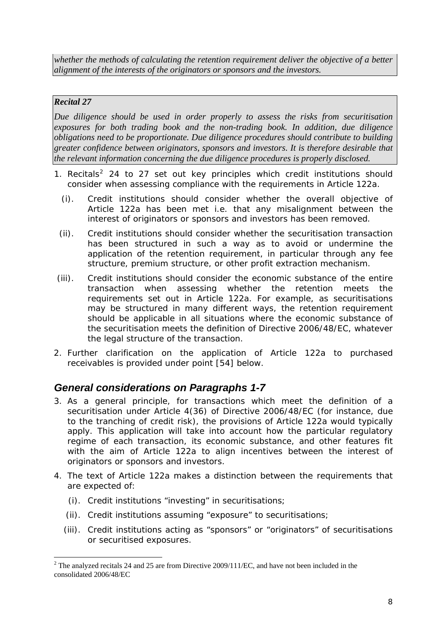<span id="page-7-0"></span>*whether the methods of calculating the retention requirement deliver the objective of a better alignment of the interests of the originators or sponsors and the investors.* 

### *Recital 27*

*Due diligence should be used in order properly to assess the risks from securitisation exposures for both trading book and the non-trading book. In addition, due diligence obligations need to be proportionate. Due diligence procedures should contribute to building greater confidence between originators, sponsors and investors. It is therefore desirable that the relevant information concerning the due diligence procedures is properly disclosed.* 

- 1. Recitals<sup>[2](#page-7-1)</sup> 24 to 27 set out key principles which credit institutions should consider when assessing compliance with the requirements in Article 122a.
	- (i). Credit institutions should consider whether the overall objective of Article 122a has been met i.e. that any misalignment between the interest of originators or sponsors and investors has been removed.
	- (ii). Credit institutions should consider whether the securitisation transaction has been structured in such a way as to avoid or undermine the application of the retention requirement, in particular through any fee structure, premium structure, or other profit extraction mechanism.
- (iii). Credit institutions should consider the economic substance of the entire transaction when assessing whether the retention meets the requirements set out in Article 122a. For example, as securitisations may be structured in many different ways, the retention requirement should be applicable in all situations where the economic substance of the securitisation meets the definition of Directive 2006/48/EC, whatever the legal structure of the transaction.
- 2. Further clarification on the application of Article 122a to purchased receivables is provided under point [54] below.

## *General considerations on Paragraphs 1-7*

- 3. As a general principle, for transactions which meet the definition of a securitisation under Article 4(36) of Directive 2006/48/EC (for instance, due to the tranching of credit risk), the provisions of Article 122a would typically apply. This application will take into account how the particular regulatory regime of each transaction, its economic substance, and other features fit with the aim of Article 122a to align incentives between the interest of originators or sponsors and investors.
- 4. The text of Article 122a makes a distinction between the requirements that are expected of:
	- (i). Credit institutions "investing" in securitisations;
	- (ii). Credit institutions assuming "exposure" to securitisations;
	- (iii). Credit institutions acting as "sponsors" or "originators" of securitisations or securitised exposures.

<span id="page-7-1"></span><sup>&</sup>lt;u>.</u> <sup>2</sup> The analyzed recitals 24 and 25 are from Directive 2009/111/EC, and have not been included in the consolidated 2006/48/EC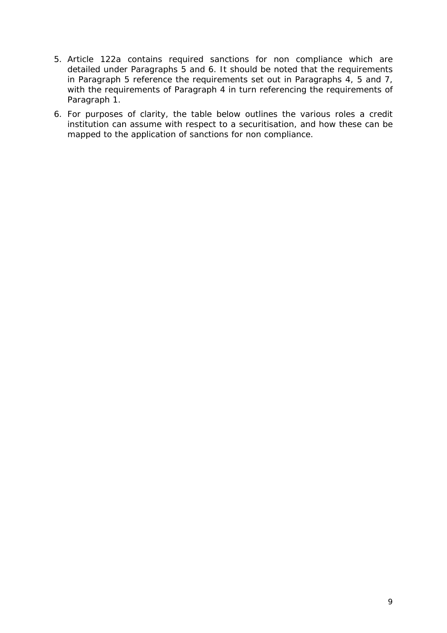- 5. Article 122a contains required sanctions for non compliance which are detailed under Paragraphs 5 and 6. It should be noted that the requirements in Paragraph 5 reference the requirements set out in Paragraphs 4, 5 and 7, with the requirements of Paragraph 4 in turn referencing the requirements of Paragraph 1.
- 6. For purposes of clarity, the table below outlines the various roles a credit institution can assume with respect to a securitisation, and how these can be mapped to the application of sanctions for non compliance.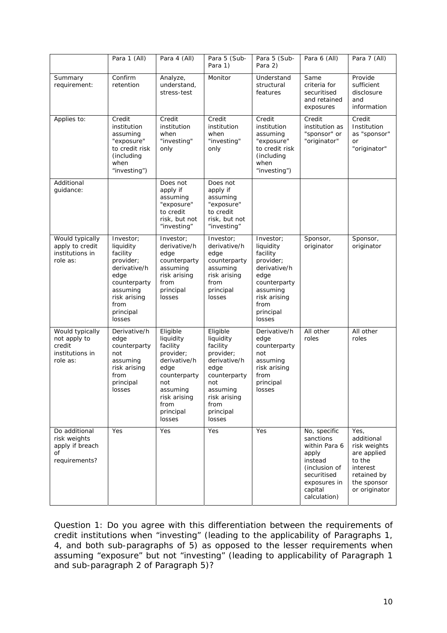|                                                                          | Para 1 (All)                                                                                                                                       | Para 4 (All)                                                                                                                                             | Para 5 (Sub-<br>Para 1)                                                                                                                                  | Para 5 (Sub-<br>Para 2)                                                                                                                            | Para 6 (All)                                                                                                                              | Para 7 (All)                                                                                                           |
|--------------------------------------------------------------------------|----------------------------------------------------------------------------------------------------------------------------------------------------|----------------------------------------------------------------------------------------------------------------------------------------------------------|----------------------------------------------------------------------------------------------------------------------------------------------------------|----------------------------------------------------------------------------------------------------------------------------------------------------|-------------------------------------------------------------------------------------------------------------------------------------------|------------------------------------------------------------------------------------------------------------------------|
| Summary<br>requirement:                                                  | Confirm<br>retention                                                                                                                               | Analyze,<br>understand,<br>stress-test                                                                                                                   | Monitor                                                                                                                                                  | Understand<br>structural<br>features                                                                                                               | Same<br>criteria for<br>securitised<br>and retained<br>exposures                                                                          | Provide<br>sufficient<br>disclosure<br>and<br>information                                                              |
| Applies to:                                                              | Credit<br>institution<br>assuming<br>"exposure"<br>to credit risk<br>(including)<br>when<br>"investing")                                           | Credit<br>institution<br>when<br>"investing"<br>only                                                                                                     | Credit<br>institution<br>when<br>"investing"<br>only                                                                                                     | Credit<br>institution<br>assuming<br>"exposure"<br>to credit risk<br>(including<br>when<br>"investing")                                            | Credit<br>institution as<br>"sponsor" or<br>"originator"                                                                                  | Credit<br>Institution<br>as "sponsor"<br><b>or</b><br>"originator"                                                     |
| Additional<br>guidance:                                                  |                                                                                                                                                    | Does not<br>apply if<br>assuming<br>"exposure"<br>to credit<br>risk, but not<br>"investing"                                                              | Does not<br>apply if<br>assuming<br>"exposure"<br>to credit<br>risk, but not<br>"investing"                                                              |                                                                                                                                                    |                                                                                                                                           |                                                                                                                        |
| Would typically<br>apply to credit<br>institutions in<br>role as:        | Investor;<br>liquidity<br>facility<br>provider;<br>derivative/h<br>edge<br>counterparty<br>assuming<br>risk arising<br>from<br>principal<br>losses | Investor;<br>derivative/h<br>edge<br>counterparty<br>assuming<br>risk arising<br>from<br>principal<br>losses                                             | Investor;<br>derivative/h<br>edge<br>counterparty<br>assuming<br>risk arising<br>from<br>principal<br>losses                                             | Investor;<br>liquidity<br>facility<br>provider;<br>derivative/h<br>edge<br>counterparty<br>assuming<br>risk arising<br>from<br>principal<br>losses | Sponsor,<br>originator                                                                                                                    | Sponsor,<br>originator                                                                                                 |
| Would typically<br>not apply to<br>credit<br>institutions in<br>role as: | Derivative/h<br>edge<br>counterparty<br>not<br>assuming<br>risk arising<br>from<br>principal<br>losses                                             | Eligible<br>liquidity<br>facility<br>provider;<br>derivative/h<br>edge<br>counterparty<br>not<br>assuming<br>risk arising<br>from<br>principal<br>losses | Eligible<br>liquidity<br>facility<br>provider;<br>derivative/h<br>edge<br>counterparty<br>not<br>assuming<br>risk arising<br>from<br>principal<br>losses | Derivative/h<br>edge<br>counterparty<br>not<br>assuming<br>risk arising<br>from<br>principal<br>losses                                             | All other<br>roles                                                                                                                        | All other<br>roles                                                                                                     |
| Do additional<br>risk weights<br>apply if breach<br>οf<br>requirements?  | Yes                                                                                                                                                | Yes                                                                                                                                                      | Yes                                                                                                                                                      | Yes                                                                                                                                                | No, specific<br>sanctions<br>within Para 6<br>apply<br>instead<br>(inclusion of<br>securitised<br>exposures in<br>capital<br>calculation) | Yes,<br>additional<br>risk weights<br>are applied<br>to the<br>interest<br>retained by<br>the sponsor<br>or originator |

*Question 1: Do you agree with this differentiation between the requirements of credit institutions when "investing" (leading to the applicability of Paragraphs 1, 4, and both sub-paragraphs of 5) as opposed to the lesser requirements when assuming "exposure" but not "investing" (leading to applicability of Paragraph 1 and sub-paragraph 2 of Paragraph 5)?*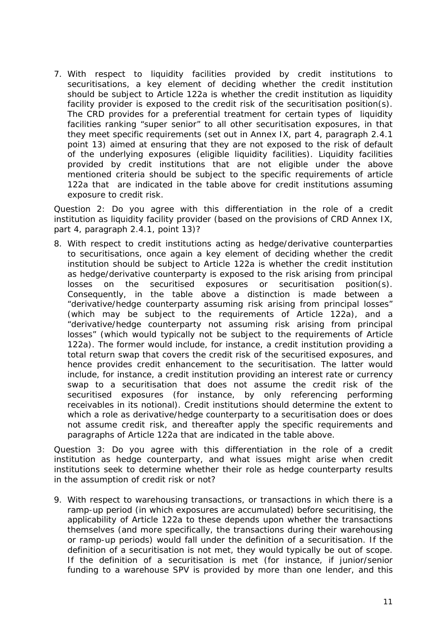7. With respect to liquidity facilities provided by credit institutions to securitisations, a key element of deciding whether the credit institution should be subject to Article 122a is whether the credit institution as liquidity facility provider is exposed to the credit risk of the securitisation position(s). The CRD provides for a preferential treatment for certain types of liquidity facilities ranking "super senior" to all other securitisation exposures, in that they meet specific requirements (set out in Annex IX, part 4, paragraph 2.4.1 point 13) aimed at ensuring that they are not exposed to the risk of default of the underlying exposures (eligible liquidity facilities). Liquidity facilities provided by credit institutions that are not eligible under the above mentioned criteria should be subject to the specific requirements of article 122a that are indicated in the table above for credit institutions assuming exposure to credit risk.

*Question 2: Do you agree with this differentiation in the role of a credit institution as liquidity facility provider (based on the provisions of CRD Annex IX, part 4, paragraph 2.4.1, point 13)?*

8. With respect to credit institutions acting as hedge/derivative counterparties to securitisations, once again a key element of deciding whether the credit institution should be subject to Article 122a is whether the credit institution as hedge/derivative counterparty is exposed to the risk arising from principal losses on the securitised exposures or securitisation position(s). Consequently, in the table above a distinction is made between a "derivative/hedge counterparty assuming risk arising from principal losses" (which may be subject to the requirements of Article 122a), and a "derivative/hedge counterparty not assuming risk arising from principal losses" (which would typically not be subject to the requirements of Article 122a). The former would include, for instance, a credit institution providing a total return swap that covers the credit risk of the securitised exposures, and hence provides credit enhancement to the securitisation. The latter would include, for instance, a credit institution providing an interest rate or currency swap to a securitisation that does not assume the credit risk of the securitised exposures (for instance, by only referencing performing receivables in its notional). Credit institutions should determine the extent to which a role as derivative/hedge counterparty to a securitisation does or does not assume credit risk, and thereafter apply the specific requirements and paragraphs of Article 122a that are indicated in the table above.

*Question 3: Do you agree with this differentiation in the role of a credit institution as hedge counterparty, and what issues might arise when credit institutions seek to determine whether their role as hedge counterparty results in the assumption of credit risk or not?* 

9. With respect to warehousing transactions, or transactions in which there is a ramp-up period (in which exposures are accumulated) before securitising, the applicability of Article 122a to these depends upon whether the transactions themselves (and more specifically, the transactions during their warehousing or ramp-up periods) would fall under the definition of a securitisation. If the definition of a securitisation is not met, they would typically be out of scope. If the definition of a securitisation is met (for instance, if junior/senior funding to a warehouse SPV is provided by more than one lender, and this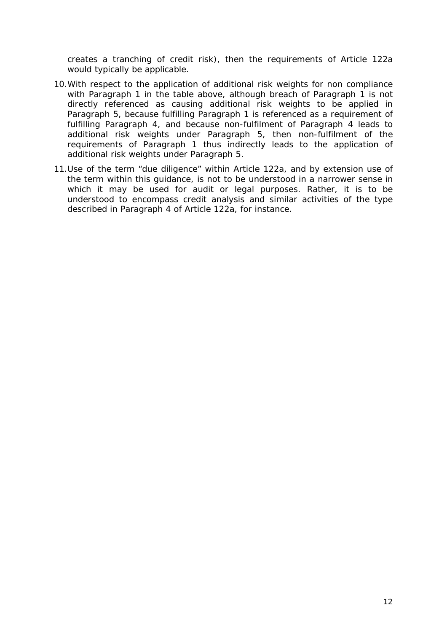creates a tranching of credit risk), then the requirements of Article 122a would typically be applicable.

- 10.With respect to the application of additional risk weights for non compliance with Paragraph 1 in the table above, although breach of Paragraph 1 is not directly referenced as causing additional risk weights to be applied in Paragraph 5, because fulfilling Paragraph 1 is referenced as a requirement of fulfilling Paragraph 4, and because non-fulfilment of Paragraph 4 leads to additional risk weights under Paragraph 5, then non-fulfilment of the requirements of Paragraph 1 thus indirectly leads to the application of additional risk weights under Paragraph 5.
- 11.Use of the term "due diligence" within Article 122a, and by extension use of the term within this guidance, is not to be understood in a narrower sense in which it may be used for audit or legal purposes. Rather, it is to be understood to encompass credit analysis and similar activities of the type described in Paragraph 4 of Article 122a, for instance.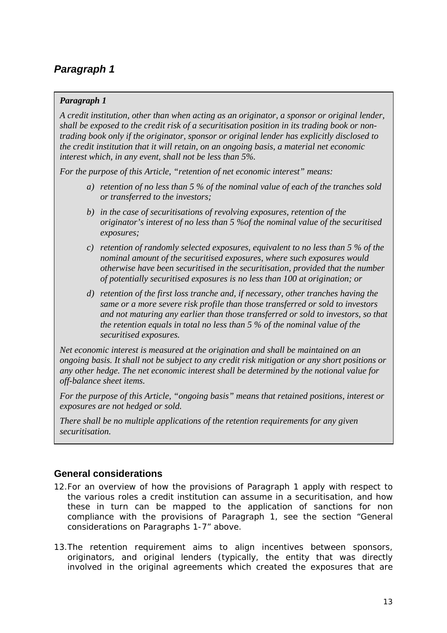### <span id="page-12-0"></span>*Paragraph 1*

*A credit institution, other than when acting as an originator, a sponsor or original lender, shall be exposed to the credit risk of a securitisation position in its trading book or nontrading book only if the originator, sponsor or original lender has explicitly disclosed to the credit institution that it will retain, on an ongoing basis, a material net economic interest which, in any event, shall not be less than 5%.* 

*For the purpose of this Article, "retention of net economic interest" means:* 

- *a) retention of no less than 5 % of the nominal value of each of the tranches sold or transferred to the investors;*
- *b) in the case of securitisations of revolving exposures, retention of the originator's interest of no less than 5 %of the nominal value of the securitised exposures;*
- *c) retention of randomly selected exposures, equivalent to no less than 5 % of the nominal amount of the securitised exposures, where such exposures would otherwise have been securitised in the securitisation, provided that the number of potentially securitised exposures is no less than 100 at origination; or*
- *d) retention of the first loss tranche and, if necessary, other tranches having the same or a more severe risk profile than those transferred or sold to investors and not maturing any earlier than those transferred or sold to investors, so that the retention equals in total no less than 5 % of the nominal value of the securitised exposures.*

*Net economic interest is measured at the origination and shall be maintained on an ongoing basis. It shall not be subject to any credit risk mitigation or any short positions or any other hedge. The net economic interest shall be determined by the notional value for off-balance sheet items.* 

*For the purpose of this Article, "ongoing basis" means that retained positions, interest or exposures are not hedged or sold.* 

*There shall be no multiple applications of the retention requirements for any given securitisation.* 

## **General considerations**

- 12.For an overview of how the provisions of Paragraph 1 apply with respect to the various roles a credit institution can assume in a securitisation, and how these in turn can be mapped to the application of sanctions for non compliance with the provisions of Paragraph 1, see the section "General considerations on Paragraphs 1-7" above.
- 13.The retention requirement aims to align incentives between sponsors, originators, and original lenders (typically, the entity that was directly involved in the original agreements which created the exposures that are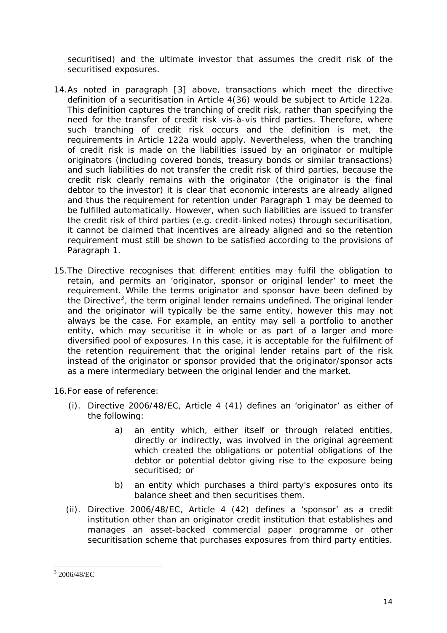securitised) and the ultimate investor that assumes the credit risk of the securitised exposures.

- 14.As noted in paragraph [3] above, transactions which meet the directive definition of a securitisation in Article 4(36) would be subject to Article 122a. This definition captures the tranching of credit risk, rather than specifying the need for the transfer of credit risk vis-à-vis third parties. Therefore, where such tranching of credit risk occurs and the definition is met, the requirements in Article 122a would apply. Nevertheless, when the tranching of credit risk is made on the liabilities issued by an originator or multiple originators (including covered bonds, treasury bonds or similar transactions) and such liabilities do not transfer the credit risk of third parties, because the credit risk clearly remains with the originator (the originator is the final debtor to the investor) it is clear that economic interests are already aligned and thus the requirement for retention under Paragraph 1 may be deemed to be fulfilled automatically. However, when such liabilities are issued to transfer the credit risk of third parties (e.g. credit-linked notes) through securitisation, it cannot be claimed that incentives are already aligned and so the retention requirement must still be shown to be satisfied according to the provisions of Paragraph 1.
- 15.The Directive recognises that different entities may fulfil the obligation to retain, and permits an 'originator, sponsor or original lender' to meet the requirement. While the terms originator and sponsor have been defined by the Directive<sup>[3](#page-13-0)</sup>, the term original lender remains undefined. The original lender and the originator will typically be the same entity, however this may not always be the case. For example, an entity may sell a portfolio to another entity, which may securitise it in whole or as part of a larger and more diversified pool of exposures. In this case, it is acceptable for the fulfilment of the retention requirement that the original lender retains part of the risk instead of the originator or sponsor provided that the originator/sponsor acts as a mere intermediary between the original lender and the market.

16.For ease of reference:

- (i). Directive 2006/48/EC, Article 4 (41) defines an 'originator' as either of the following:
	- a) an entity which, either itself or through related entities, directly or indirectly, was involved in the original agreement which created the obligations or potential obligations of the debtor or potential debtor giving rise to the exposure being securitised; or
	- b) an entity which purchases a third party's exposures onto its balance sheet and then securitises them.
- (ii). Directive 2006/48/EC, Article 4 (42) defines a 'sponsor' as a credit institution other than an originator credit institution that establishes and manages an asset-backed commercial paper programme or other securitisation scheme that purchases exposures from third party entities.

<span id="page-13-0"></span> 3 2006/48/EC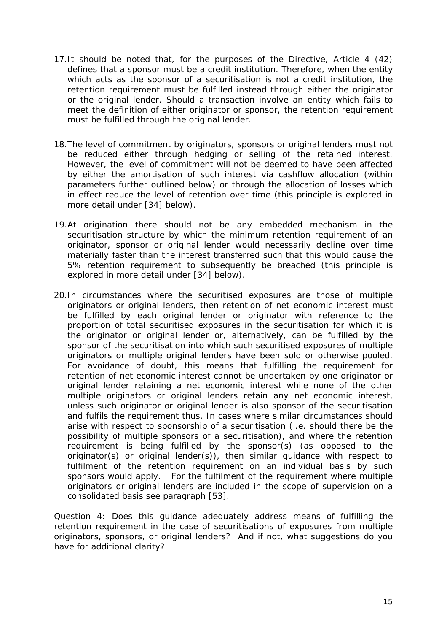- 17.It should be noted that, for the purposes of the Directive, Article 4 (42) defines that a sponsor must be a credit institution. Therefore, when the entity which acts as the sponsor of a securitisation is not a credit institution, the retention requirement must be fulfilled instead through either the originator or the original lender. Should a transaction involve an entity which fails to meet the definition of either originator or sponsor, the retention requirement must be fulfilled through the original lender.
- 18.The level of commitment by originators, sponsors or original lenders must not be reduced either through hedging or selling of the retained interest. However, the level of commitment will not be deemed to have been affected by either the amortisation of such interest via cashflow allocation (within parameters further outlined below) or through the allocation of losses which in effect reduce the level of retention over time (this principle is explored in more detail under [34] below).
- 19.At origination there should not be any embedded mechanism in the securitisation structure by which the minimum retention requirement of an originator, sponsor or original lender would necessarily decline over time materially faster than the interest transferred such that this would cause the 5% retention requirement to subsequently be breached (this principle is explored in more detail under [34] below).
- 20.In circumstances where the securitised exposures are those of multiple originators or original lenders, then retention of net economic interest must be fulfilled by each original lender or originator with reference to the proportion of total securitised exposures in the securitisation for which it is the originator or original lender or, alternatively, can be fulfilled by the sponsor of the securitisation into which such securitised exposures of multiple originators or multiple original lenders have been sold or otherwise pooled. For avoidance of doubt, this means that fulfilling the requirement for retention of net economic interest cannot be undertaken by one originator or original lender retaining a net economic interest while none of the other multiple originators or original lenders retain any net economic interest, unless such originator or original lender is also sponsor of the securitisation and fulfils the requirement thus. In cases where similar circumstances should arise with respect to sponsorship of a securitisation (i.e. should there be the possibility of multiple sponsors of a securitisation), and where the retention requirement is being fulfilled by the sponsor(s) (as opposed to the originator(s) or original lender(s)), then similar guidance with respect to fulfilment of the retention requirement on an individual basis by such sponsors would apply. For the fulfilment of the requirement where multiple originators or original lenders are included in the scope of supervision on a consolidated basis see paragraph [53].

*Question 4: Does this guidance adequately address means of fulfilling the retention requirement in the case of securitisations of exposures from multiple originators, sponsors, or original lenders? And if not, what suggestions do you have for additional clarity?*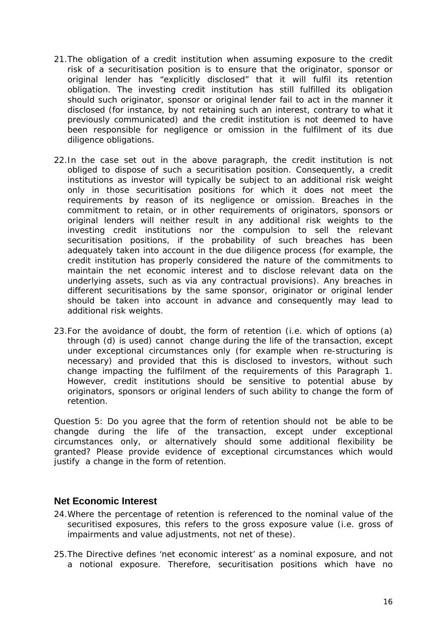- <span id="page-15-0"></span>21.The obligation of a credit institution when assuming exposure to the credit risk of a securitisation position is to ensure that the originator, sponsor or original lender has "explicitly disclosed" that it will fulfil its retention obligation. The investing credit institution has still fulfilled its obligation should such originator, sponsor or original lender fail to act in the manner it disclosed (for instance, by not retaining such an interest, contrary to what it previously communicated) and the credit institution is not deemed to have been responsible for negligence or omission in the fulfilment of its due diligence obligations.
- 22.In the case set out in the above paragraph, the credit institution is not obliged to dispose of such a securitisation position. Consequently, a credit institutions as investor will typically be subject to an additional risk weight only in those securitisation positions for which it does not meet the requirements by reason of its negligence or omission. Breaches in the commitment to retain, or in other requirements of originators, sponsors or original lenders will neither result in any additional risk weights to the investing credit institutions nor the compulsion to sell the relevant securitisation positions, if the probability of such breaches has been adequately taken into account in the due diligence process (for example, the credit institution has properly considered the nature of the commitments to maintain the net economic interest and to disclose relevant data on the underlying assets, such as via any contractual provisions). Any breaches in different securitisations by the same sponsor, originator or original lender should be taken into account in advance and consequently may lead to additional risk weights.
- 23.For the avoidance of doubt, the form of retention (i.e. which of options (a) through (d) is used) cannot change during the life of the transaction, except under exceptional circumstances only (for example when re-structuring is necessary) and provided that this is disclosed to investors, without such change impacting the fulfilment of the requirements of this Paragraph 1. However, credit institutions should be sensitive to potential abuse by originators, sponsors or original lenders of such ability to change the form of retention.

*Question 5: Do you agree that the form of retention should not be able to be changde during the life of the transaction, except under exceptional circumstances only, or alternatively should some additional flexibility be granted? Please provide evidence of exceptional circumstances which would justify a change in the form of retention.* 

#### **Net Economic Interest**

- 24.Where the percentage of retention is referenced to the nominal value of the securitised exposures, this refers to the gross exposure value (i.e. gross of impairments and value adjustments, not net of these).
- 25.The Directive defines 'net economic interest' as a nominal exposure, and not a notional exposure. Therefore, securitisation positions which have no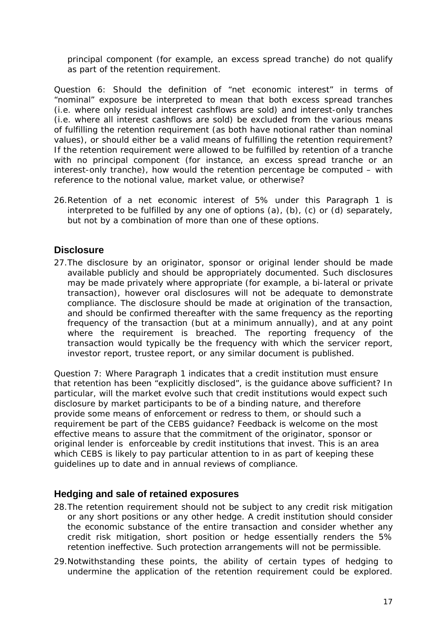<span id="page-16-0"></span>principal component (for example, an excess spread tranche) do not qualify as part of the retention requirement.

*Question 6: Should the definition of "net economic interest" in terms of "nominal" exposure be interpreted to mean that both excess spread tranches (i.e. where only residual interest cashflows are sold) and interest-only tranches (i.e. where all interest cashflows are sold) be excluded from the various means of fulfilling the retention requirement (as both have notional rather than nominal values), or should either be a valid means of fulfilling the retention requirement? If the retention requirement were allowed to be fulfilled by retention of a tranche with no principal component (for instance, an excess spread tranche or an interest-only tranche), how would the retention percentage be computed – with reference to the notional value, market value, or otherwise?* 

26.Retention of a net economic interest of 5% under this Paragraph 1 is interpreted to be fulfilled by any one of options (a), (b), (c) or (d) separately, but not by a combination of more than one of these options.

### **Disclosure**

27.The disclosure by an originator, sponsor or original lender should be made available publicly and should be appropriately documented. Such disclosures may be made privately where appropriate (for example, a bi-lateral or private transaction), however oral disclosures will not be adequate to demonstrate compliance. The disclosure should be made at origination of the transaction, and should be confirmed thereafter with the same frequency as the reporting frequency of the transaction (but at a minimum annually), and at any point where the requirement is breached. The reporting frequency of the transaction would typically be the frequency with which the servicer report, investor report, trustee report, or any similar document is published.

Question *7: Where Paragraph 1 indicates that a credit institution must ensure that retention has been "explicitly disclosed", is the guidance above sufficient? In particular, will the market evolve such that credit institutions would expect such disclosure by market participants to be of a binding nature, and therefore provide some means of enforcement or redress to them, or should such a requirement be part of the CEBS guidance? Feedback is welcome on the most effective means to assure that the commitment of the originator, sponsor or original lender is enforceable by credit institutions that invest. This is an area which CEBS is likely to pay particular attention to in as part of keeping these guidelines up to date and in annual reviews of compliance.* 

#### **Hedging and sale of retained exposures**

- 28.The retention requirement should not be subject to any credit risk mitigation or any short positions or any other hedge. A credit institution should consider the economic substance of the entire transaction and consider whether any credit risk mitigation, short position or hedge essentially renders the 5% retention ineffective. Such protection arrangements will not be permissible.
- 29.Notwithstanding these points, the ability of certain types of hedging to undermine the application of the retention requirement could be explored.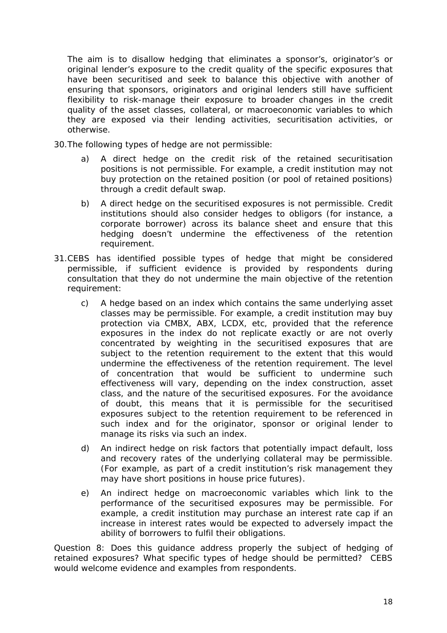The aim is to disallow hedging that eliminates a sponsor's, originator's or original lender's exposure to the credit quality of the specific exposures that have been securitised and seek to balance this objective with another of ensuring that sponsors, originators and original lenders still have sufficient flexibility to risk-manage their exposure to broader changes in the credit quality of the asset classes, collateral, or macroeconomic variables to which they are exposed via their lending activities, securitisation activities, or otherwise.

- 30.The following types of hedge are not permissible:
	- a) A direct hedge on the credit risk of the retained securitisation positions is not permissible. For example, a credit institution may not buy protection on the retained position (or pool of retained positions) through a credit default swap.
	- b) A direct hedge on the securitised exposures is not permissible. Credit institutions should also consider hedges to obligors (for instance, a corporate borrower) across its balance sheet and ensure that this hedging doesn't undermine the effectiveness of the retention requirement.
- 31.CEBS has identified possible types of hedge that might be considered permissible, if sufficient evidence is provided by respondents during consultation that they do not undermine the main objective of the retention requirement:
	- c) A hedge based on an index which contains the same underlying asset classes may be permissible. For example, a credit institution may buy protection via CMBX, ABX, LCDX, etc, provided that the reference exposures in the index do not replicate exactly or are not overly concentrated by weighting in the securitised exposures that are subject to the retention requirement to the extent that this would undermine the effectiveness of the retention requirement. The level of concentration that would be sufficient to undermine such effectiveness will vary, depending on the index construction, asset class, and the nature of the securitised exposures. For the avoidance of doubt, this means that it is permissible for the securitised exposures subject to the retention requirement to be referenced in such index and for the originator, sponsor or original lender to manage its risks via such an index.
	- d) An indirect hedge on risk factors that potentially impact default, loss and recovery rates of the underlying collateral may be permissible. (For example, as part of a credit institution's risk management they may have short positions in house price futures).
	- e) An indirect hedge on macroeconomic variables which link to the performance of the securitised exposures may be permissible. For example, a credit institution may purchase an interest rate cap if an increase in interest rates would be expected to adversely impact the ability of borrowers to fulfil their obligations.

*Question 8: Does this guidance address properly the subject of hedging of retained exposures? What specific types of hedge should be permitted? CEBS would welcome evidence and examples from respondents.*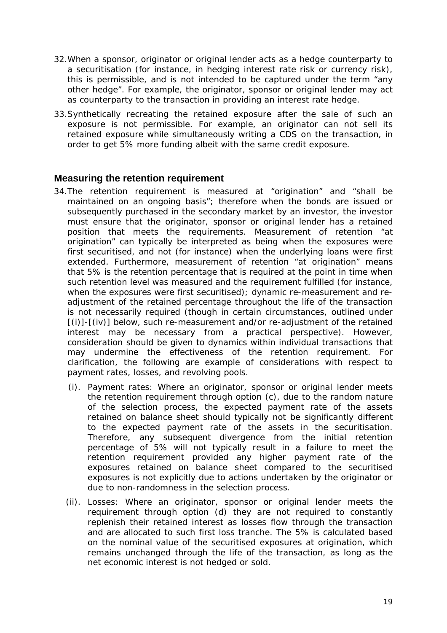- <span id="page-18-0"></span>32.When a sponsor, originator or original lender acts as a hedge counterparty to a securitisation (for instance, in hedging interest rate risk or currency risk), this is permissible, and is not intended to be captured under the term "any other hedge". For example, the originator, sponsor or original lender may act as counterparty to the transaction in providing an interest rate hedge.
- 33.Synthetically recreating the retained exposure after the sale of such an exposure is not permissible. For example, an originator can not sell its retained exposure while simultaneously writing a CDS on the transaction, in order to get 5% more funding albeit with the same credit exposure.

#### **Measuring the retention requirement**

- 34.The retention requirement is measured at "origination" and "shall be maintained on an ongoing basis"; therefore when the bonds are issued or subsequently purchased in the secondary market by an investor, the investor must ensure that the originator, sponsor or original lender has a retained position that meets the requirements. Measurement of retention "at origination" can typically be interpreted as being when the exposures were first securitised, and not (for instance) when the underlying loans were first extended. Furthermore, measurement of retention "at origination" means that 5% is the retention percentage that is required at the point in time when such retention level was measured and the requirement fulfilled (for instance, when the exposures were first securitised); dynamic re-measurement and readjustment of the retained percentage throughout the life of the transaction is not necessarily required (though in certain circumstances, outlined under  $[(i)]$ - $[(iv)]$  below, such re-measurement and/or re-adjustment of the retained interest may be necessary from a practical perspective). However, consideration should be given to dynamics within individual transactions that may undermine the effectiveness of the retention requirement. For clarification, the following are example of considerations with respect to payment rates, losses, and revolving pools.
	- (i). Payment rates: Where an originator, sponsor or original lender meets the retention requirement through option (c), due to the random nature of the selection process, the expected payment rate of the assets retained on balance sheet should typically not be significantly different to the expected payment rate of the assets in the securitisation. Therefore, any subsequent divergence from the initial retention percentage of 5% will not typically result in a failure to meet the retention requirement provided any higher payment rate of the exposures retained on balance sheet compared to the securitised exposures is not explicitly due to actions undertaken by the originator or due to non-randomness in the selection process.
	- (ii). Losses: Where an originator, sponsor or original lender meets the requirement through option (d) they are not required to constantly replenish their retained interest as losses flow through the transaction and are allocated to such first loss tranche. The 5% is calculated based on the nominal value of the securitised exposures at origination, which remains unchanged through the life of the transaction, as long as the net economic interest is not hedged or sold.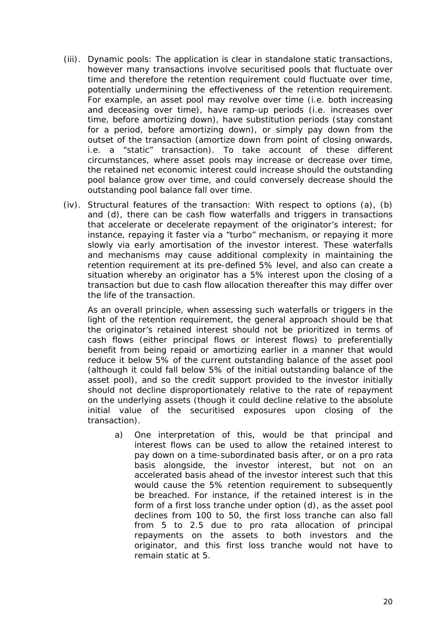- (iii). Dynamic pools: The application is clear in standalone static transactions, however many transactions involve securitised pools that fluctuate over time and therefore the retention requirement could fluctuate over time, potentially undermining the effectiveness of the retention requirement. For example, an asset pool may revolve over time (i.e. both increasing and deceasing over time), have ramp-up periods (i.e. increases over time, before amortizing down), have substitution periods (stay constant for a period, before amortizing down), or simply pay down from the outset of the transaction (amortize down from point of closing onwards, i.e. a "static" transaction). To take account of these different circumstances, where asset pools may increase or decrease over time, the retained net economic interest could increase should the outstanding pool balance grow over time, and could conversely decrease should the outstanding pool balance fall over time.
- (iv). Structural features of the transaction: With respect to options (a), (b) and (d), there can be cash flow waterfalls and triggers in transactions that accelerate or decelerate repayment of the originator's interest; for instance, repaying it faster via a "turbo" mechanism, or repaying it more slowly via early amortisation of the investor interest. These waterfalls and mechanisms may cause additional complexity in maintaining the retention requirement at its pre-defined 5% level, and also can create a situation whereby an originator has a 5% interest upon the closing of a transaction but due to cash flow allocation thereafter this may differ over the life of the transaction.

As an overall principle, when assessing such waterfalls or triggers in the light of the retention requirement, the general approach should be that the originator's retained interest should not be prioritized in terms of cash flows (either principal flows or interest flows) to preferentially benefit from being repaid or amortizing earlier in a manner that would reduce it below 5% of the current outstanding balance of the asset pool (although it could fall below 5% of the initial outstanding balance of the asset pool), and so the credit support provided to the investor initially should not decline disproportionately relative to the rate of repayment on the underlying assets (though it could decline relative to the absolute initial value of the securitised exposures upon closing of the transaction).

a) One interpretation of this, would be that principal and interest flows can be used to allow the retained interest to pay down on a time-subordinated basis after, or on a pro rata basis alongside, the investor interest, but not on an accelerated basis ahead of the investor interest such that this would cause the 5% retention requirement to subsequently be breached. For instance, if the retained interest is in the form of a first loss tranche under option (d), as the asset pool declines from 100 to 50, the first loss tranche can also fall from 5 to 2.5 due to pro rata allocation of principal repayments on the assets to both investors and the originator, and this first loss tranche would not have to remain static at 5.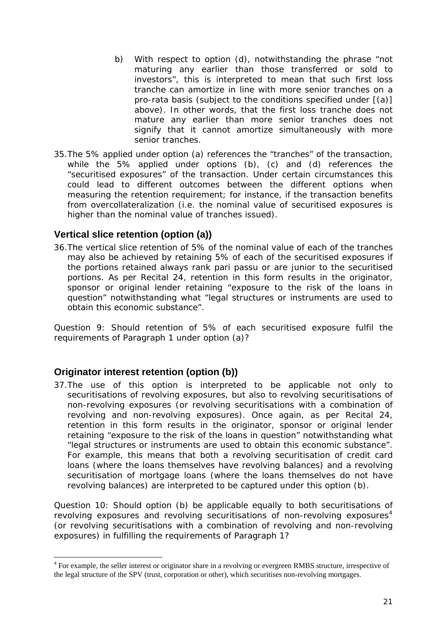- <span id="page-20-0"></span>b) With respect to option (d), notwithstanding the phrase "not maturing any earlier than those transferred or sold to investors", this is interpreted to mean that such first loss tranche can amortize in line with more senior tranches on a pro-rata basis (subject to the conditions specified under [(a)] above). In other words, that the first loss tranche does not mature any earlier than more senior tranches does not signify that it cannot amortize simultaneously with more senior tranches.
- 35.The 5% applied under option (a) references the "tranches" of the transaction, while the 5% applied under options (b), (c) and (d) references the "securitised exposures" of the transaction. Under certain circumstances this could lead to different outcomes between the different options when measuring the retention requirement; for instance, if the transaction benefits from overcollateralization (i.e. the nominal value of securitised exposures is higher than the nominal value of tranches issued).

### **Vertical slice retention (option (a))**

36.The vertical slice retention of 5% of the nominal value of each of the tranches may also be achieved by retaining 5% of each of the securitised exposures if the portions retained always rank pari passu or are junior to the securitised portions. As per Recital 24, retention in this form results in the originator, sponsor or original lender retaining "exposure to the risk of the loans in question" notwithstanding what "legal structures or instruments are used to obtain this economic substance".

*Question 9: Should retention of 5% of each securitised exposure fulfil the requirements of Paragraph 1 under option (a)?*

## **Originator interest retention (option (b))**

<u>.</u>

37.The use of this option is interpreted to be applicable not only to securitisations of revolving exposures, but also to revolving securitisations of non-revolving exposures (or revolving securitisations with a combination of revolving and non-revolving exposures). Once again, as per Recital 24, retention in this form results in the originator, sponsor or original lender retaining "exposure to the risk of the loans in question" notwithstanding what "legal structures or instruments are used to obtain this economic substance". For example, this means that both a revolving securitisation of credit card loans (where the loans themselves have revolving balances) and a revolving securitisation of mortgage loans (where the loans themselves do not have revolving balances) are interpreted to be captured under this option (b).

*Question 10: Should option (b) be applicable equally to both securitisations of revolving exposures and revolving securitisations of non-revolving exposures[4](#page-20-1) (or revolving securitisations with a combination of revolving and non-revolving exposures) in fulfilling the requirements of Paragraph 1?*

<span id="page-20-1"></span><sup>&</sup>lt;sup>4</sup> For example, the seller interest or originator share in a revolving or evergreen RMBS structure, irrespective of the legal structure of the SPV (trust, corporation or other), which securitises non-revolving mortgages.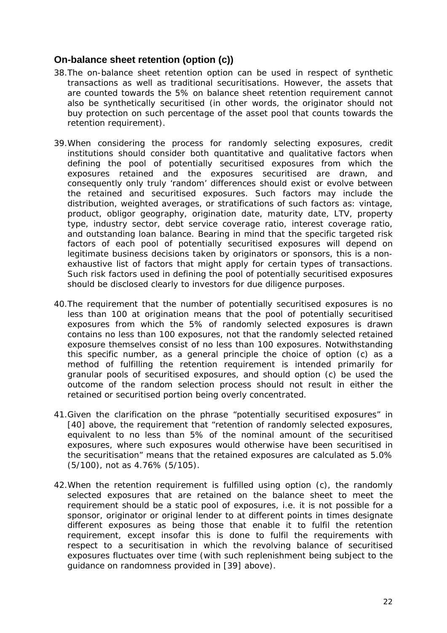### <span id="page-21-0"></span>**On-balance sheet retention (option (c))**

- 38.The on-balance sheet retention option can be used in respect of synthetic transactions as well as traditional securitisations. However, the assets that are counted towards the 5% on balance sheet retention requirement cannot also be synthetically securitised (in other words, the originator should not buy protection on such percentage of the asset pool that counts towards the retention requirement).
- 39.When considering the process for randomly selecting exposures, credit institutions should consider both quantitative and qualitative factors when defining the pool of potentially securitised exposures from which the exposures retained and the exposures securitised are drawn, and consequently only truly 'random' differences should exist or evolve between the retained and securitised exposures. Such factors may include the distribution, weighted averages, or stratifications of such factors as: vintage, product, obligor geography, origination date, maturity date, LTV, property type, industry sector, debt service coverage ratio, interest coverage ratio, and outstanding loan balance. Bearing in mind that the specific targeted risk factors of each pool of potentially securitised exposures will depend on legitimate business decisions taken by originators or sponsors, this is a nonexhaustive list of factors that might apply for certain types of transactions. Such risk factors used in defining the pool of potentially securitised exposures should be disclosed clearly to investors for due diligence purposes.
- 40.The requirement that the number of potentially securitised exposures is no less than 100 at origination means that the pool of potentially securitised exposures from which the 5% of randomly selected exposures is drawn contains no less than 100 exposures, not that the randomly selected retained exposure themselves consist of no less than 100 exposures. Notwithstanding this specific number, as a general principle the choice of option (c) as a method of fulfilling the retention requirement is intended primarily for granular pools of securitised exposures, and should option (c) be used the outcome of the random selection process should not result in either the retained or securitised portion being overly concentrated.
- 41.Given the clarification on the phrase "potentially securitised exposures" in [40] above, the requirement that "retention of randomly selected exposures, equivalent to no less than 5% of the nominal amount of the securitised exposures, where such exposures would otherwise have been securitised in the securitisation" means that the retained exposures are calculated as 5.0% (5/100), not as 4.76% (5/105).
- 42.When the retention requirement is fulfilled using option (c), the randomly selected exposures that are retained on the balance sheet to meet the requirement should be a static pool of exposures, i.e. it is not possible for a sponsor, originator or original lender to at different points in times designate different exposures as being those that enable it to fulfil the retention requirement, except insofar this is done to fulfil the requirements with respect to a securitisation in which the revolving balance of securitised exposures fluctuates over time (with such replenishment being subject to the guidance on randomness provided in [39] above).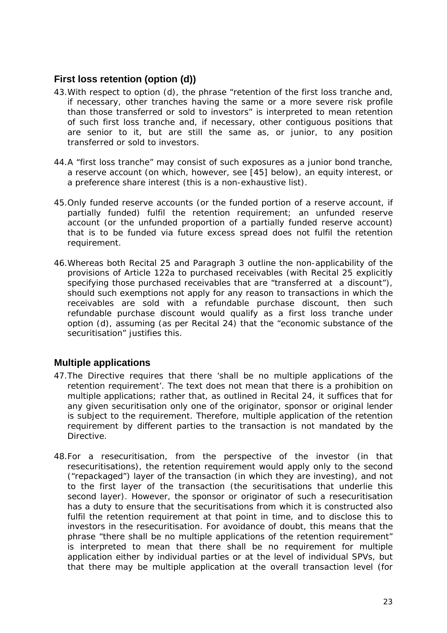## <span id="page-22-0"></span>**First loss retention (option (d))**

- 43.With respect to option (d), the phrase "retention of the first loss tranche and, if necessary, other tranches having the same or a more severe risk profile than those transferred or sold to investors" is interpreted to mean retention of such first loss tranche and, if necessary, other contiguous positions that are senior to it, but are still the same as, or junior, to any position transferred or sold to investors.
- 44.A "first loss tranche" may consist of such exposures as a junior bond tranche, a reserve account (on which, however, see [45] below), an equity interest, or a preference share interest (this is a non-exhaustive list).
- 45.Only funded reserve accounts (or the funded portion of a reserve account, if partially funded) fulfil the retention requirement; an unfunded reserve account (or the unfunded proportion of a partially funded reserve account) that is to be funded via future excess spread does not fulfil the retention requirement.
- 46.Whereas both Recital 25 and Paragraph 3 outline the non-applicability of the provisions of Article 122a to purchased receivables (with Recital 25 explicitly specifying those purchased receivables that are "transferred at a discount"), should such exemptions not apply for any reason to transactions in which the receivables are sold with a refundable purchase discount, then such refundable purchase discount would qualify as a first loss tranche under option (d), assuming (as per Recital 24) that the "economic substance of the securitisation" justifies this.

## **Multiple applications**

- 47.The Directive requires that there 'shall be no multiple applications of the retention requirement'. The text does not mean that there is a prohibition on multiple applications; rather that, as outlined in Recital 24, it suffices that for any given securitisation only one of the originator, sponsor or original lender is subject to the requirement. Therefore, multiple application of the retention requirement by different parties to the transaction is not mandated by the Directive.
- 48.For a resecuritisation, from the perspective of the investor (in that resecuritisations), the retention requirement would apply only to the second ("repackaged") layer of the transaction (in which they are investing), and not to the first layer of the transaction (the securitisations that underlie this second layer). However, the sponsor or originator of such a resecuritisation has a duty to ensure that the securitisations from which it is constructed also fulfil the retention requirement at that point in time, and to disclose this to investors in the resecuritisation. For avoidance of doubt, this means that the phrase "there shall be no multiple applications of the retention requirement" is interpreted to mean that there shall be no requirement for multiple application either by individual parties or at the level of individual SPVs, but that there may be multiple application at the overall transaction level (for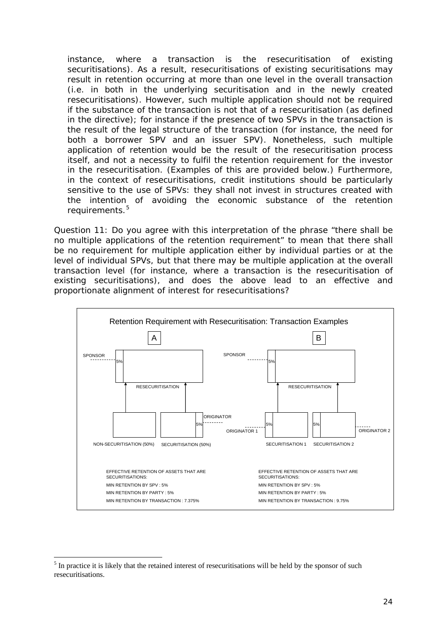instance, where a transaction is the resecuritisation of existing securitisations). As a result, resecuritisations of existing securitisations may result in retention occurring at more than one level in the overall transaction (i.e. in both in the underlying securitisation and in the newly created resecuritisations). However, such multiple application should not be required if the substance of the transaction is not that of a resecuritisation (as defined in the directive); for instance if the presence of two SPVs in the transaction is the result of the legal structure of the transaction (for instance, the need for both a borrower SPV and an issuer SPV). Nonetheless, such multiple application of retention would be the result of the resecuritisation process itself, and not a necessity to fulfil the retention requirement for the investor in the resecuritisation. (Examples of this are provided below.) Furthermore, in the context of resecuritisations, credit institutions should be particularly sensitive to the use of SPVs: they shall not invest in structures created with the intention of avoiding the economic substance of the retention requirements.<sup>5</sup>

*Question 11: Do you agree with this interpretation of the phrase "there shall be no multiple applications of the retention requirement" to mean that there shall be no requirement for multiple application either by individual parties or at the level of individual SPVs, but that there may be multiple application at the overall transaction level (for instance, where a transaction is the resecuritisation of existing securitisations), and does the above lead to an effective and proportionate alignment of interest for resecuritisations?* 



<u>.</u>

 $<sup>5</sup>$  In practice it is likely that the retained interest of resecuritisations will be held by the sponsor of such</sup> resecuritisations.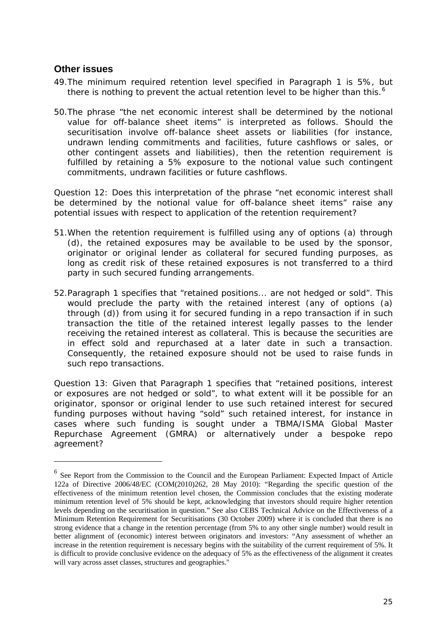### <span id="page-24-0"></span>**Other issues**

1

- 49.The minimum required retention level specified in Paragraph 1 is 5%, but there is nothing to prevent the actual retention level to be higher than this.<sup>[6](#page-24-1)</sup>
- 50.The phrase "the net economic interest shall be determined by the notional value for off-balance sheet items" is interpreted as follows. Should the securitisation involve off-balance sheet assets or liabilities (for instance, undrawn lending commitments and facilities, future cashflows or sales, or other contingent assets and liabilities), then the retention requirement is fulfilled by retaining a 5% exposure to the notional value such contingent commitments, undrawn facilities or future cashflows.

*Question 12: Does this interpretation of the phrase "net economic interest shall be determined by the notional value for off-balance sheet items" raise any potential issues with respect to application of the retention requirement?* 

- 51.When the retention requirement is fulfilled using any of options (a) through (d), the retained exposures may be available to be used by the sponsor, originator or original lender as collateral for secured funding purposes, as long as credit risk of these retained exposures is not transferred to a third party in such secured funding arrangements.
- 52.Paragraph 1 specifies that "retained positions... are not hedged or sold". This would preclude the party with the retained interest (any of options (a) through (d)) from using it for secured funding in a repo transaction if in such transaction the title of the retained interest legally passes to the lender receiving the retained interest as collateral. This is because the securities are in effect sold and repurchased at a later date in such a transaction. Consequently, the retained exposure should not be used to raise funds in such repo transactions.

*Question 13: Given that Paragraph 1 specifies that "retained positions, interest or exposures are not hedged or sold", to what extent will it be possible for an originator, sponsor or original lender to use such retained interest for secured funding purposes without having "sold" such retained interest, for instance in cases where such funding is sought under a TBMA/ISMA Global Master Repurchase Agreement (GMRA) or alternatively under a bespoke repo agreement?* 

<span id="page-24-1"></span><sup>6</sup> See Report from the Commission to the Council and the European Parliament: Expected Impact of Article 122a of Directive 2006/48/EC (COM(2010)262, 28 May 2010): "Regarding the specific question of the effectiveness of the minimum retention level chosen, the Commission concludes that the existing moderate minimum retention level of 5% should be kept, acknowledging that investors should require higher retention levels depending on the securitisation in question." See also CEBS Technical Advice on the Effectiveness of a Minimum Retention Requirement for Securitisations (30 October 2009) where it is concluded that there is no strong evidence that a change in the retention percentage (from 5% to any other single number) would result in better alignment of (economic) interest between originators and investors: "Any assessment of whether an increase in the retention requirement is necessary begins with the suitability of the current requirement of 5%. It is difficult to provide conclusive evidence on the adequacy of 5% as the effectiveness of the alignment it creates will vary across asset classes, structures and geographies."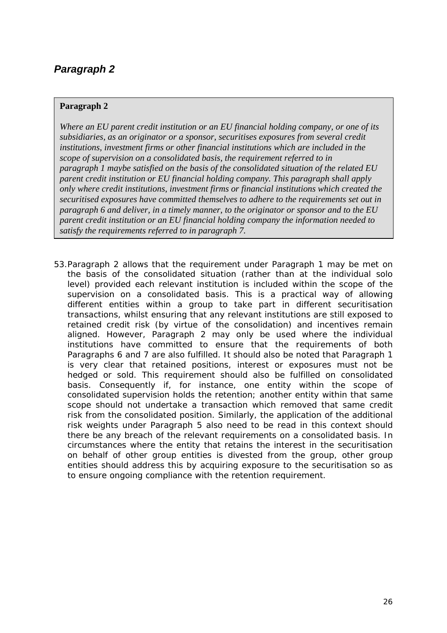#### <span id="page-25-0"></span>**Paragraph 2**

*Where an EU parent credit institution or an EU financial holding company, or one of its subsidiaries, as an originator or a sponsor, securitises exposures from several credit institutions, investment firms or other financial institutions which are included in the scope of supervision on a consolidated basis, the requirement referred to in paragraph 1 maybe satisfied on the basis of the consolidated situation of the related EU parent credit institution or EU financial holding company. This paragraph shall apply only where credit institutions, investment firms or financial institutions which created the securitised exposures have committed themselves to adhere to the requirements set out in paragraph 6 and deliver, in a timely manner, to the originator or sponsor and to the EU parent credit institution or an EU financial holding company the information needed to satisfy the requirements referred to in paragraph 7.* 

53.Paragraph 2 allows that the requirement under Paragraph 1 may be met on the basis of the consolidated situation (rather than at the individual solo level) provided each relevant institution is included within the scope of the supervision on a consolidated basis. This is a practical way of allowing different entities within a group to take part in different securitisation transactions, whilst ensuring that any relevant institutions are still exposed to retained credit risk (by virtue of the consolidation) and incentives remain aligned. However, Paragraph 2 may only be used where the individual institutions have committed to ensure that the requirements of both Paragraphs 6 and 7 are also fulfilled. It should also be noted that Paragraph 1 is very clear that retained positions, interest or exposures must not be hedged or sold. This requirement should also be fulfilled on consolidated basis. Consequently if, for instance, one entity within the scope of consolidated supervision holds the retention; another entity within that same scope should not undertake a transaction which removed that same credit risk from the consolidated position. Similarly, the application of the additional risk weights under Paragraph 5 also need to be read in this context should there be any breach of the relevant requirements on a consolidated basis. In circumstances where the entity that retains the interest in the securitisation on behalf of other group entities is divested from the group, other group entities should address this by acquiring exposure to the securitisation so as to ensure ongoing compliance with the retention requirement.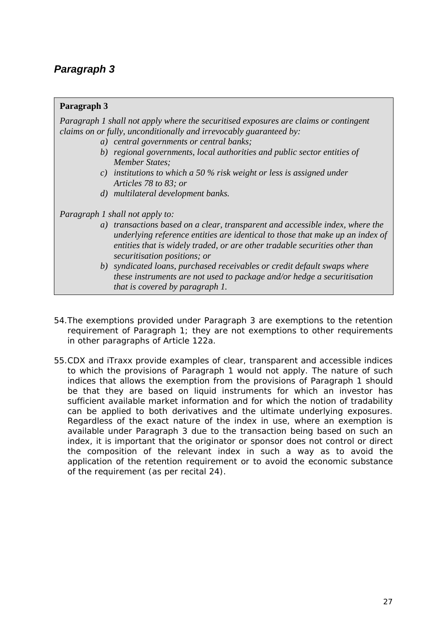#### <span id="page-26-0"></span>**Paragraph 3**

*Paragraph 1 shall not apply where the securitised exposures are claims or contingent claims on or fully, unconditionally and irrevocably guaranteed by:* 

- *a) central governments or central banks;*
- *b) regional governments, local authorities and public sector entities of Member States;*
- *c) institutions to which a 50 % risk weight or less is assigned under Articles 78 to 83; or*
- *d) multilateral development banks.*

*Paragraph 1 shall not apply to:* 

- *a) transactions based on a clear, transparent and accessible index, where the underlying reference entities are identical to those that make up an index of entities that is widely traded, or are other tradable securities other than securitisation positions; or*
- *b) syndicated loans, purchased receivables or credit default swaps where these instruments are not used to package and/or hedge a securitisation that is covered by paragraph 1.*
- 54.The exemptions provided under Paragraph 3 are exemptions to the retention requirement of Paragraph 1; they are not exemptions to other requirements in other paragraphs of Article 122a.
- 55.CDX and iTraxx provide examples of clear, transparent and accessible indices to which the provisions of Paragraph 1 would not apply. The nature of such indices that allows the exemption from the provisions of Paragraph 1 should be that they are based on liquid instruments for which an investor has sufficient available market information and for which the notion of tradability can be applied to both derivatives and the ultimate underlying exposures. Regardless of the exact nature of the index in use, where an exemption is available under Paragraph 3 due to the transaction being based on such an index, it is important that the originator or sponsor does not control or direct the composition of the relevant index in such a way as to avoid the application of the retention requirement or to avoid the economic substance of the requirement (as per recital 24).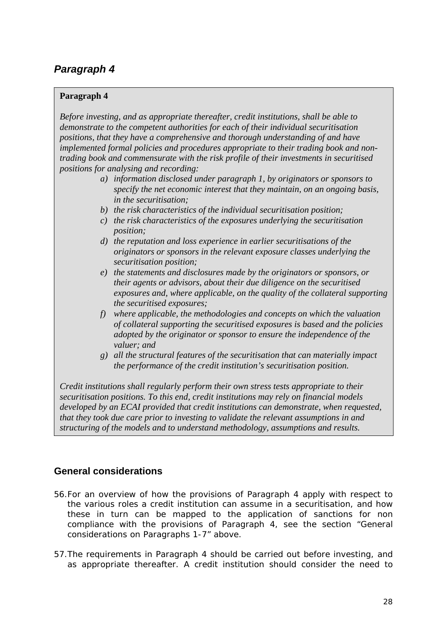#### <span id="page-27-0"></span>**Paragraph 4**

*Before investing, and as appropriate thereafter, credit institutions, shall be able to demonstrate to the competent authorities for each of their individual securitisation positions, that they have a comprehensive and thorough understanding of and have implemented formal policies and procedures appropriate to their trading book and nontrading book and commensurate with the risk profile of their investments in securitised positions for analysing and recording:* 

- *a) information disclosed under paragraph 1, by originators or sponsors to specify the net economic interest that they maintain, on an ongoing basis, in the securitisation;*
- *b) the risk characteristics of the individual securitisation position;*
- *c) the risk characteristics of the exposures underlying the securitisation position;*
- *d) the reputation and loss experience in earlier securitisations of the originators or sponsors in the relevant exposure classes underlying the securitisation position;*
- *e) the statements and disclosures made by the originators or sponsors, or their agents or advisors, about their due diligence on the securitised exposures and, where applicable, on the quality of the collateral supporting the securitised exposures;*
- *f) where applicable, the methodologies and concepts on which the valuation of collateral supporting the securitised exposures is based and the policies adopted by the originator or sponsor to ensure the independence of the valuer; and*
- *g) all the structural features of the securitisation that can materially impact the performance of the credit institution's securitisation position.*

*Credit institutions shall regularly perform their own stress tests appropriate to their securitisation positions. To this end, credit institutions may rely on financial models developed by an ECAI provided that credit institutions can demonstrate, when requested, that they took due care prior to investing to validate the relevant assumptions in and structuring of the models and to understand methodology, assumptions and results.* 

## **General considerations**

- 56.For an overview of how the provisions of Paragraph 4 apply with respect to the various roles a credit institution can assume in a securitisation, and how these in turn can be mapped to the application of sanctions for non compliance with the provisions of Paragraph 4, see the section "General considerations on Paragraphs 1-7" above.
- 57.The requirements in Paragraph 4 should be carried out before investing, and as appropriate thereafter. A credit institution should consider the need to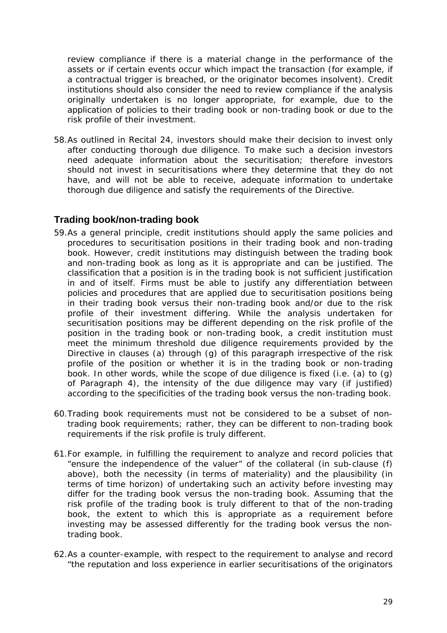<span id="page-28-0"></span>review compliance if there is a material change in the performance of the assets or if certain events occur which impact the transaction (for example, if a contractual trigger is breached, or the originator becomes insolvent). Credit institutions should also consider the need to review compliance if the analysis originally undertaken is no longer appropriate, for example, due to the application of policies to their trading book or non-trading book or due to the risk profile of their investment.

58.As outlined in Recital 24, investors should make their decision to invest only after conducting thorough due diligence. To make such a decision investors need adequate information about the securitisation; therefore investors should not invest in securitisations where they determine that they do not have, and will not be able to receive, adequate information to undertake thorough due diligence and satisfy the requirements of the Directive.

### **Trading book/non-trading book**

- 59.As a general principle, credit institutions should apply the same policies and procedures to securitisation positions in their trading book and non-trading book. However, credit institutions may distinguish between the trading book and non-trading book as long as it is appropriate and can be justified. The classification that a position is in the trading book is not sufficient justification in and of itself. Firms must be able to justify any differentiation between policies and procedures that are applied due to securitisation positions being in their trading book versus their non-trading book and/or due to the risk profile of their investment differing. While the analysis undertaken for securitisation positions may be different depending on the risk profile of the position in the trading book or non-trading book, a credit institution must meet the minimum threshold due diligence requirements provided by the Directive in clauses (a) through (g) of this paragraph irrespective of the risk profile of the position or whether it is in the trading book or non-trading book. In other words, while the scope of due diligence is fixed (i.e. (a) to (g) of Paragraph 4), the intensity of the due diligence may vary (if justified) according to the specificities of the trading book versus the non-trading book.
- 60.Trading book requirements must not be considered to be a subset of nontrading book requirements; rather, they can be different to non-trading book requirements if the risk profile is truly different.
- 61.For example, in fulfilling the requirement to analyze and record policies that "ensure the independence of the valuer" of the collateral (in sub-clause (f) above), both the necessity (in terms of materiality) and the plausibility (in terms of time horizon) of undertaking such an activity before investing may differ for the trading book versus the non-trading book. Assuming that the risk profile of the trading book is truly different to that of the non-trading book, the extent to which this is appropriate as a requirement before investing may be assessed differently for the trading book versus the nontrading book.
- 62.As a counter-example, with respect to the requirement to analyse and record "the reputation and loss experience in earlier securitisations of the originators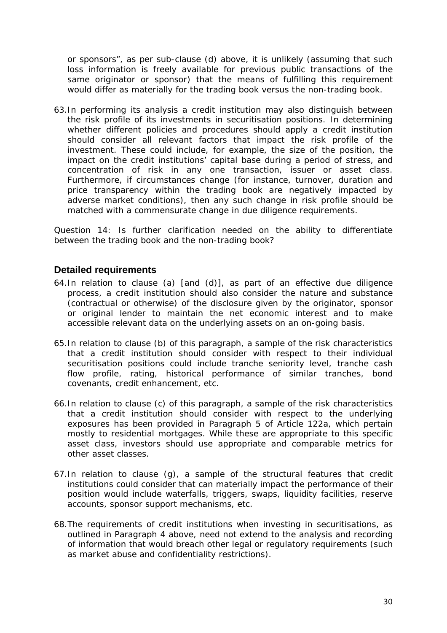<span id="page-29-0"></span>or sponsors", as per sub-clause (d) above, it is unlikely (assuming that such loss information is freely available for previous public transactions of the same originator or sponsor) that the means of fulfilling this requirement would differ as materially for the trading book versus the non-trading book.

63.In performing its analysis a credit institution may also distinguish between the risk profile of its investments in securitisation positions. In determining whether different policies and procedures should apply a credit institution should consider all relevant factors that impact the risk profile of the investment. These could include, for example, the size of the position, the impact on the credit institutions' capital base during a period of stress, and concentration of risk in any one transaction, issuer or asset class. Furthermore, if circumstances change (for instance, turnover, duration and price transparency within the trading book are negatively impacted by adverse market conditions), then any such change in risk profile should be matched with a commensurate change in due diligence requirements.

*Question 14: Is further clarification needed on the ability to differentiate between the trading book and the non-trading book?* 

### **Detailed requirements**

- 64.In relation to clause (a) [and (d)], as part of an effective due diligence process, a credit institution should also consider the nature and substance (contractual or otherwise) of the disclosure given by the originator, sponsor or original lender to maintain the net economic interest and to make accessible relevant data on the underlying assets on an on-going basis.
- 65.In relation to clause (b) of this paragraph, a sample of the risk characteristics that a credit institution should consider with respect to their individual securitisation positions could include tranche seniority level, tranche cash flow profile, rating, historical performance of similar tranches, bond covenants, credit enhancement, etc.
- 66.In relation to clause (c) of this paragraph, a sample of the risk characteristics that a credit institution should consider with respect to the underlying exposures has been provided in Paragraph 5 of Article 122a, which pertain mostly to residential mortgages. While these are appropriate to this specific asset class, investors should use appropriate and comparable metrics for other asset classes.
- 67.In relation to clause (g), a sample of the structural features that credit institutions could consider that can materially impact the performance of their position would include waterfalls, triggers, swaps, liquidity facilities, reserve accounts, sponsor support mechanisms, etc.
- 68.The requirements of credit institutions when investing in securitisations, as outlined in Paragraph 4 above, need not extend to the analysis and recording of information that would breach other legal or regulatory requirements (such as market abuse and confidentiality restrictions).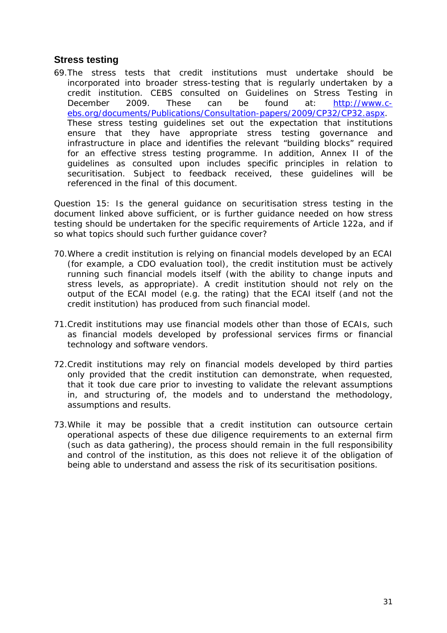### <span id="page-30-0"></span>**Stress testing**

69.The stress tests that credit institutions must undertake should be incorporated into broader stress-testing that is regularly undertaken by a credit institution. CEBS consulted on Guidelines on Stress Testing in December 2009. These can be found at: [http://www.c](http://www.c-ebs.org/documents/Publications/Consultation-papers/2009/CP32/CP32.aspx)[ebs.org/documents/Publications/Consultation-papers/2009/CP32/CP32.aspx.](http://www.c-ebs.org/documents/Publications/Consultation-papers/2009/CP32/CP32.aspx) These stress testing guidelines set out the expectation that institutions ensure that they have appropriate stress testing governance and infrastructure in place and identifies the relevant "building blocks" required for an effective stress testing programme. In addition, Annex II of the guidelines as consulted upon includes specific principles in relation to securitisation. Subject to feedback received, these guidelines will be referenced in the final of this document.

*Question 15: Is the general guidance on securitisation stress testing in the document linked above sufficient, or is further guidance needed on how stress testing should be undertaken for the specific requirements of Article 122a, and if so what topics should such further guidance cover?* 

- 70.Where a credit institution is relying on financial models developed by an ECAI (for example, a CDO evaluation tool), the credit institution must be actively running such financial models itself (with the ability to change inputs and stress levels, as appropriate). A credit institution should not rely on the output of the ECAI model (e.g. the rating) that the ECAI itself (and not the credit institution) has produced from such financial model.
- 71.Credit institutions may use financial models other than those of ECAIs, such as financial models developed by professional services firms or financial technology and software vendors.
- 72.Credit institutions may rely on financial models developed by third parties only provided that the credit institution can demonstrate, when requested, that it took due care prior to investing to validate the relevant assumptions in, and structuring of, the models and to understand the methodology, assumptions and results.
- 73.While it may be possible that a credit institution can outsource certain operational aspects of these due diligence requirements to an external firm (such as data gathering), the process should remain in the full responsibility and control of the institution, as this does not relieve it of the obligation of being able to understand and assess the risk of its securitisation positions.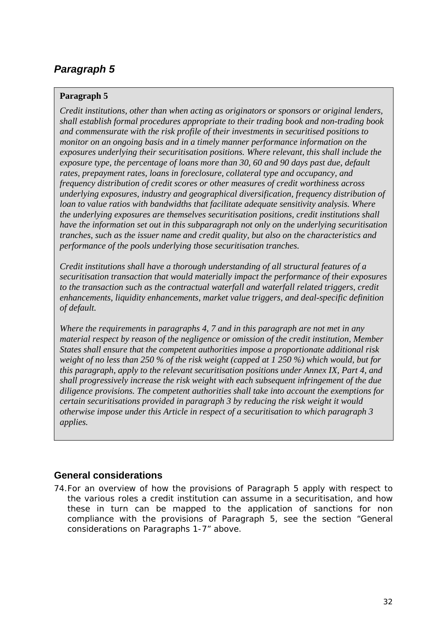### <span id="page-31-0"></span>**Paragraph 5**

*Credit institutions, other than when acting as originators or sponsors or original lenders, shall establish formal procedures appropriate to their trading book and non-trading book and commensurate with the risk profile of their investments in securitised positions to monitor on an ongoing basis and in a timely manner performance information on the exposures underlying their securitisation positions. Where relevant, this shall include the exposure type, the percentage of loans more than 30, 60 and 90 days past due, default rates, prepayment rates, loans in foreclosure, collateral type and occupancy, and frequency distribution of credit scores or other measures of credit worthiness across underlying exposures, industry and geographical diversification, frequency distribution of loan to value ratios with bandwidths that facilitate adequate sensitivity analysis. Where the underlying exposures are themselves securitisation positions, credit institutions shall have the information set out in this subparagraph not only on the underlying securitisation tranches, such as the issuer name and credit quality, but also on the characteristics and performance of the pools underlying those securitisation tranches.* 

*Credit institutions shall have a thorough understanding of all structural features of a securitisation transaction that would materially impact the performance of their exposures to the transaction such as the contractual waterfall and waterfall related triggers, credit enhancements, liquidity enhancements, market value triggers, and deal-specific definition of default.* 

*Where the requirements in paragraphs 4, 7 and in this paragraph are not met in any material respect by reason of the negligence or omission of the credit institution, Member States shall ensure that the competent authorities impose a proportionate additional risk weight of no less than 250 % of the risk weight (capped at 1 250 %) which would, but for this paragraph, apply to the relevant securitisation positions under Annex IX, Part 4, and shall progressively increase the risk weight with each subsequent infringement of the due diligence provisions. The competent authorities shall take into account the exemptions for certain securitisations provided in paragraph 3 by reducing the risk weight it would otherwise impose under this Article in respect of a securitisation to which paragraph 3 applies.* 

## **General considerations**

74.For an overview of how the provisions of Paragraph 5 apply with respect to the various roles a credit institution can assume in a securitisation, and how these in turn can be mapped to the application of sanctions for non compliance with the provisions of Paragraph 5, see the section "General considerations on Paragraphs 1-7" above.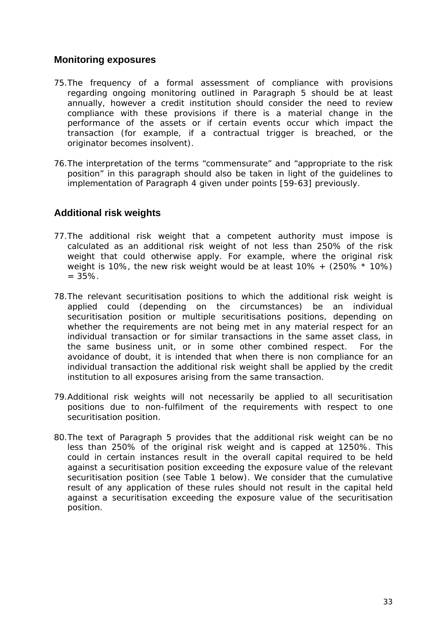### <span id="page-32-0"></span>**Monitoring exposures**

- 75.The frequency of a formal assessment of compliance with provisions regarding ongoing monitoring outlined in Paragraph 5 should be at least annually, however a credit institution should consider the need to review compliance with these provisions if there is a material change in the performance of the assets or if certain events occur which impact the transaction (for example, if a contractual trigger is breached, or the originator becomes insolvent).
- 76.The interpretation of the terms "commensurate" and "appropriate to the risk position" in this paragraph should also be taken in light of the guidelines to implementation of Paragraph 4 given under points [59-63] previously.

### **Additional risk weights**

- 77.The additional risk weight that a competent authority must impose is calculated as an additional risk weight of not less than 250% of the risk weight that could otherwise apply. For example, where the original risk weight is 10%, the new risk weight would be at least  $10\% + (250\% * 10\%)$  $= 35\%$ .
- 78.The relevant securitisation positions to which the additional risk weight is applied could (depending on the circumstances) be an individual securitisation position or multiple securitisations positions, depending on whether the requirements are not being met in any material respect for an individual transaction or for similar transactions in the same asset class, in the same business unit, or in some other combined respect. For the avoidance of doubt, it is intended that when there is non compliance for an individual transaction the additional risk weight shall be applied by the credit institution to all exposures arising from the same transaction.
- 79.Additional risk weights will not necessarily be applied to all securitisation positions due to non-fulfilment of the requirements with respect to one securitisation position.
- 80.The text of Paragraph 5 provides that the additional risk weight can be no less than 250% of the original risk weight and is capped at 1250%. This could in certain instances result in the overall capital required to be held against a securitisation position exceeding the exposure value of the relevant securitisation position (see Table 1 below). We consider that the cumulative result of any application of these rules should not result in the capital held against a securitisation exceeding the exposure value of the securitisation position.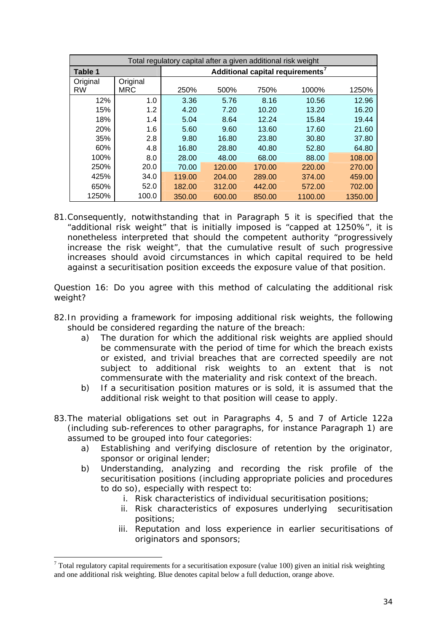| Total regulatory capital after a given additional risk weight |            |                                              |        |        |         |         |
|---------------------------------------------------------------|------------|----------------------------------------------|--------|--------|---------|---------|
| <b>Table 1</b>                                                |            | Additional capital requirements <sup>7</sup> |        |        |         |         |
| Original                                                      | Original   |                                              |        |        |         |         |
| <b>RW</b>                                                     | <b>MRC</b> | 250%                                         | 500%   | 750%   | 1000%   | 1250%   |
| 12%                                                           | 1.0        | 3.36                                         | 5.76   | 8.16   | 10.56   | 12.96   |
| 15%                                                           | 1.2        | 4.20                                         | 7.20   | 10.20  | 13.20   | 16.20   |
| 18%                                                           | 1.4        | 5.04                                         | 8.64   | 12.24  | 15.84   | 19.44   |
| 20%                                                           | 1.6        | 5.60                                         | 9.60   | 13.60  | 17.60   | 21.60   |
| 35%                                                           | 2.8        | 9.80                                         | 16.80  | 23.80  | 30.80   | 37.80   |
| 60%                                                           | 4.8        | 16.80                                        | 28.80  | 40.80  | 52.80   | 64.80   |
| 100%                                                          | 8.0        | 28.00                                        | 48.00  | 68.00  | 88.00   | 108.00  |
| 250%                                                          | 20.0       | 70.00                                        | 120.00 | 170.00 | 220.00  | 270.00  |
| 425%                                                          | 34.0       | 119.00                                       | 204.00 | 289.00 | 374.00  | 459.00  |
| 650%                                                          | 52.0       | 182.00                                       | 312.00 | 442.00 | 572.00  | 702.00  |
| 1250%                                                         | 100.0      | 350.00                                       | 600.00 | 850.00 | 1100.00 | 1350.00 |

81.Consequently, notwithstanding that in Paragraph 5 it is specified that the "additional risk weight" that is initially imposed is "capped at 1250%", it is nonetheless interpreted that should the competent authority "progressively increase the risk weight", that the cumulative result of such progressive increases should avoid circumstances in which capital required to be held against a securitisation position exceeds the exposure value of that position.

*Question 16: Do you agree with this method of calculating the additional risk weight?* 

- 82.In providing a framework for imposing additional risk weights, the following should be considered regarding the nature of the breach:
	- a) The duration for which the additional risk weights are applied should be commensurate with the period of time for which the breach exists or existed, and trivial breaches that are corrected speedily are not subject to additional risk weights to an extent that is not commensurate with the materiality and risk context of the breach.
	- b) If a securitisation position matures or is sold, it is assumed that the additional risk weight to that position will cease to apply.
- 83.The material obligations set out in Paragraphs 4, 5 and 7 of Article 122a (including sub-references to other paragraphs, for instance Paragraph 1) are assumed to be grouped into four categories:
	- a) Establishing and verifying disclosure of retention by the originator, sponsor or original lender;
	- b) Understanding, analyzing and recording the risk profile of the securitisation positions (including appropriate policies and procedures to do so), especially with respect to:
		- i. Risk characteristics of individual securitisation positions;
		- ii. Risk characteristics of exposures underlying securitisation positions;
		- iii. Reputation and loss experience in earlier securitisations of originators and sponsors;

<u>.</u>

<span id="page-33-0"></span> $<sup>7</sup>$  Total regulatory capital requirements for a securitisation exposure (value 100) given an initial risk weighting</sup> and one additional risk weighting. Blue denotes capital below a full deduction, orange above.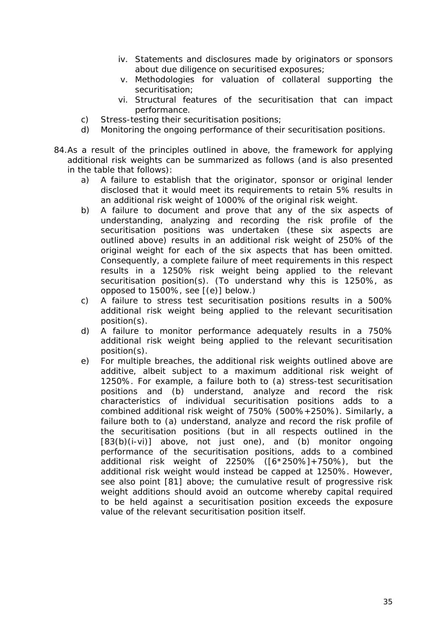- iv. Statements and disclosures made by originators or sponsors about due diligence on securitised exposures;
- v. Methodologies for valuation of collateral supporting the securitisation;
- vi. Structural features of the securitisation that can impact performance.
- c) Stress-testing their securitisation positions;
- d) Monitoring the ongoing performance of their securitisation positions.
- 84.As a result of the principles outlined in above, the framework for applying additional risk weights can be summarized as follows (and is also presented in the table that follows):
	- a) A failure to establish that the originator, sponsor or original lender disclosed that it would meet its requirements to retain 5% results in an additional risk weight of 1000% of the original risk weight.
	- b) A failure to document and prove that any of the six aspects of understanding, analyzing and recording the risk profile of the securitisation positions was undertaken (these six aspects are outlined above) results in an additional risk weight of 250% of the original weight for each of the six aspects that has been omitted. Consequently, a complete failure of meet requirements in this respect results in a 1250% risk weight being applied to the relevant securitisation position(s). (To understand why this is 1250%, as opposed to 1500%, see [(e)] below.)
	- c) A failure to stress test securitisation positions results in a 500% additional risk weight being applied to the relevant securitisation position(s).
	- d) A failure to monitor performance adequately results in a 750% additional risk weight being applied to the relevant securitisation position(s).
	- e) For multiple breaches, the additional risk weights outlined above are additive, albeit subject to a maximum additional risk weight of 1250%. For example, a failure both to (a) stress-test securitisation positions and (b) understand, analyze and record the risk characteristics of individual securitisation positions adds to a combined additional risk weight of 750% (500%+250%). Similarly, a failure both to (a) understand, analyze and record the risk profile of the securitisation positions (but in all respects outlined in the [83(b)(i-vi)] above, not just one), and (b) monitor ongoing performance of the securitisation positions, adds to a combined additional risk weight of 2250% ([6\*250%]+750%), but the additional risk weight would instead be capped at 1250%. However, see also point [81] above; the cumulative result of progressive risk weight additions should avoid an outcome whereby capital required to be held against a securitisation position exceeds the exposure value of the relevant securitisation position itself.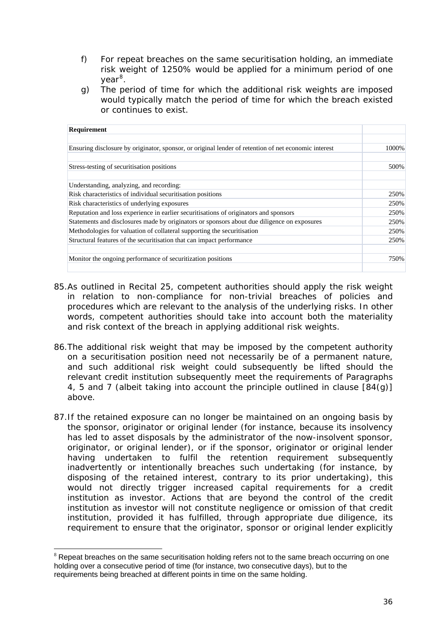- f) For repeat breaches on the same securitisation holding, an immediate risk weight of 1250% would be applied for a minimum period of one year<sup>[8](#page-35-0)</sup>.
- g) The period of time for which the additional risk weights are imposed would typically match the period of time for which the breach existed or continues to exist.

| 1000%        |
|--------------|
| 500%         |
|              |
|              |
| 250%<br>250% |
| 250%         |
| 250%         |
| 250%         |
| 250%         |
| 750%         |
|              |

- 85.As outlined in Recital 25, competent authorities should apply the risk weight in relation to non-compliance for non-trivial breaches of policies and procedures which are relevant to the analysis of the underlying risks. In other words, competent authorities should take into account both the materiality and risk context of the breach in applying additional risk weights.
- 86.The additional risk weight that may be imposed by the competent authority on a securitisation position need not necessarily be of a permanent nature, and such additional risk weight could subsequently be lifted should the relevant credit institution subsequently meet the requirements of Paragraphs 4, 5 and 7 (albeit taking into account the principle outlined in clause [84(g)] above.
- 87.If the retained exposure can no longer be maintained on an ongoing basis by the sponsor, originator or original lender (for instance, because its insolvency has led to asset disposals by the administrator of the now-insolvent sponsor, originator, or original lender), or if the sponsor, originator or original lender having undertaken to fulfil the retention requirement subsequently inadvertently or intentionally breaches such undertaking (for instance, by disposing of the retained interest, contrary to its prior undertaking), this would not directly trigger increased capital requirements for a credit institution as investor. Actions that are beyond the control of the credit institution as investor will not constitute negligence or omission of that credit institution, provided it has fulfilled, through appropriate due diligence, its requirement to ensure that the originator, sponsor or original lender explicitly

<span id="page-35-0"></span><sup>1</sup> <sup>8</sup> Repeat breaches on the same securitisation holding refers not to the same breach occurring on one holding over a consecutive period of time (for instance, two consecutive days), but to the requirements being breached at different points in time on the same holding.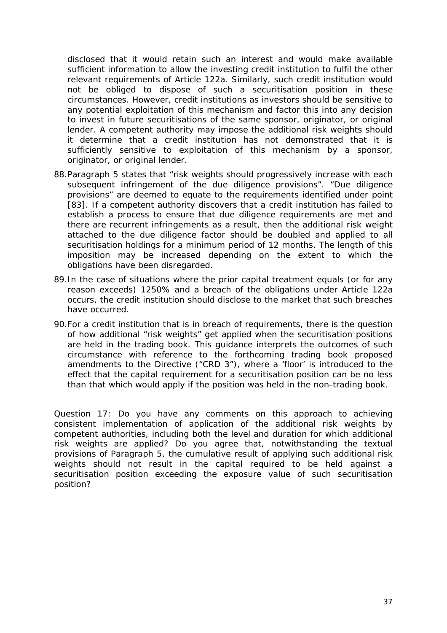disclosed that it would retain such an interest and would make available sufficient information to allow the investing credit institution to fulfil the other relevant requirements of Article 122a. Similarly, such credit institution would not be obliged to dispose of such a securitisation position in these circumstances. However, credit institutions as investors should be sensitive to any potential exploitation of this mechanism and factor this into any decision to invest in future securitisations of the same sponsor, originator, or original lender. A competent authority may impose the additional risk weights should it determine that a credit institution has not demonstrated that it is sufficiently sensitive to exploitation of this mechanism by a sponsor, originator, or original lender.

- 88.Paragraph 5 states that "risk weights should progressively increase with each subsequent infringement of the due diligence provisions". "Due diligence provisions" are deemed to equate to the requirements identified under point [83]. If a competent authority discovers that a credit institution has failed to establish a process to ensure that due diligence requirements are met and there are recurrent infringements as a result, then the additional risk weight attached to the due diligence factor should be doubled and applied to all securitisation holdings for a minimum period of 12 months. The length of this imposition may be increased depending on the extent to which the obligations have been disregarded.
- 89.In the case of situations where the prior capital treatment equals (or for any reason exceeds) 1250% and a breach of the obligations under Article 122a occurs, the credit institution should disclose to the market that such breaches have occurred.
- 90.For a credit institution that is in breach of requirements, there is the question of how additional "risk weights" get applied when the securitisation positions are held in the trading book. This guidance interprets the outcomes of such circumstance with reference to the forthcoming trading book proposed amendments to the Directive ("CRD 3"), where a 'floor' is introduced to the effect that the capital requirement for a securitisation position can be no less than that which would apply if the position was held in the non-trading book.

*Question 17: Do you have any comments on this approach to achieving consistent implementation of application of the additional risk weights by competent authorities, including both the level and duration for which additional risk weights are applied? Do you agree that, notwithstanding the textual provisions of Paragraph 5, the cumulative result of applying such additional risk weights should not result in the capital required to be held against a securitisation position exceeding the exposure value of such securitisation position?*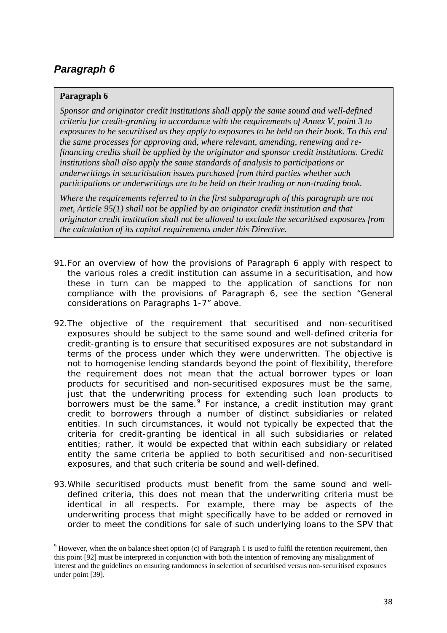#### <span id="page-37-0"></span>**Paragraph 6**

1

*Sponsor and originator credit institutions shall apply the same sound and well-defined criteria for credit-granting in accordance with the requirements of Annex V, point 3 to exposures to be securitised as they apply to exposures to be held on their book. To this end the same processes for approving and, where relevant, amending, renewing and refinancing credits shall be applied by the originator and sponsor credit institutions. Credit institutions shall also apply the same standards of analysis to participations or underwritings in securitisation issues purchased from third parties whether such participations or underwritings are to be held on their trading or non-trading book.* 

*Where the requirements referred to in the first subparagraph of this paragraph are not met, Article 95(1) shall not be applied by an originator credit institution and that originator credit institution shall not be allowed to exclude the securitised exposures from the calculation of its capital requirements under this Directive.* 

- 91.For an overview of how the provisions of Paragraph 6 apply with respect to the various roles a credit institution can assume in a securitisation, and how these in turn can be mapped to the application of sanctions for non compliance with the provisions of Paragraph 6, see the section "General considerations on Paragraphs 1-7" above.
- 92.The objective of the requirement that securitised and non-securitised exposures should be subject to the same sound and well-defined criteria for credit-granting is to ensure that securitised exposures are not substandard in terms of the process under which they were underwritten. The objective is not to homogenise lending standards beyond the point of flexibility, therefore the requirement does not mean that the actual borrower types or loan products for securitised and non-securitised exposures must be the same, just that the underwriting process for extending such loan products to borrowers must be the same.<sup>[9](#page-37-1)</sup> For instance, a credit institution may grant credit to borrowers through a number of distinct subsidiaries or related entities. In such circumstances, it would not typically be expected that the criteria for credit-granting be identical in all such subsidiaries or related entities; rather, it would be expected that within each subsidiary or related entity the same criteria be applied to both securitised and non-securitised exposures, and that such criteria be sound and well-defined.
- 93.While securitised products must benefit from the same sound and welldefined criteria, this does not mean that the underwriting criteria must be identical in all respects. For example, there may be aspects of the underwriting process that might specifically have to be added or removed in order to meet the conditions for sale of such underlying loans to the SPV that

<span id="page-37-1"></span> $9$  However, when the on balance sheet option (c) of Paragraph 1 is used to fulfil the retention requirement, then this point [92] must be interpreted in conjunction with both the intention of removing any misalignment of interest and the guidelines on ensuring randomness in selection of securitised versus non-securitised exposures under point [39].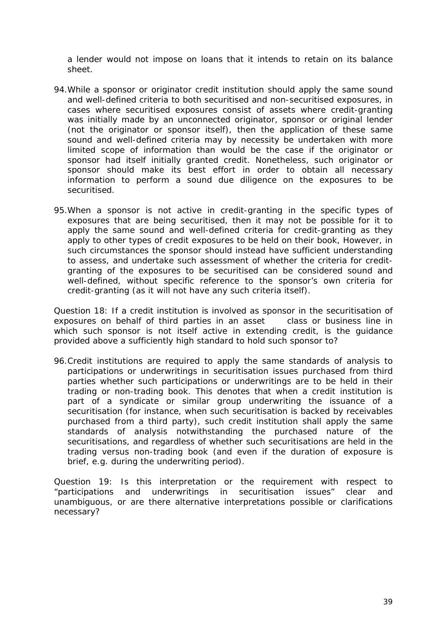a lender would not impose on loans that it intends to retain on its balance sheet.

- 94.While a sponsor or originator credit institution should apply the same sound and well-defined criteria to both securitised and non-securitised exposures, in cases where securitised exposures consist of assets where credit-granting was initially made by an unconnected originator, sponsor or original lender (not the originator or sponsor itself), then the application of these same sound and well-defined criteria may by necessity be undertaken with more limited scope of information than would be the case if the originator or sponsor had itself initially granted credit. Nonetheless, such originator or sponsor should make its best effort in order to obtain all necessary information to perform a sound due diligence on the exposures to be securitised.
- 95.When a sponsor is not active in credit-granting in the specific types of exposures that are being securitised, then it may not be possible for it to apply the same sound and well-defined criteria for credit-granting as they apply to other types of credit exposures to be held on their book, However, in such circumstances the sponsor should instead have sufficient understanding to assess, and undertake such assessment of whether the criteria for creditgranting of the exposures to be securitised can be considered sound and well-defined, without specific reference to the sponsor's own criteria for credit-granting (as it will not have any such criteria itself).

*Question 18: If a credit institution is involved as sponsor in the securitisation of exposures on behalf of third parties in an asset class or business line in which such sponsor is not itself active in extending credit, is the guidance provided above a sufficiently high standard to hold such sponsor to?* 

96.Credit institutions are required to apply the same standards of analysis to participations or underwritings in securitisation issues purchased from third parties whether such participations or underwritings are to be held in their trading or non-trading book. This denotes that when a credit institution is part of a syndicate or similar group underwriting the issuance of a securitisation (for instance, when such securitisation is backed by receivables purchased from a third party), such credit institution shall apply the same standards of analysis notwithstanding the purchased nature of the securitisations, and regardless of whether such securitisations are held in the trading versus non-trading book (and even if the duration of exposure is brief, e.g. during the underwriting period).

*Question 19: Is this interpretation or the requirement with respect to "participations and underwritings in securitisation issues" clear and unambiguous, or are there alternative interpretations possible or clarifications necessary?*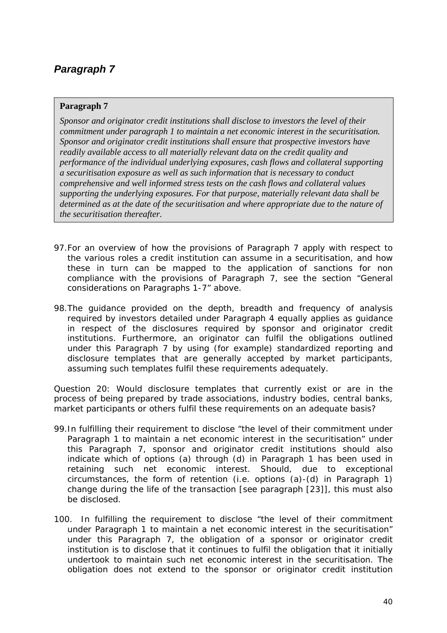#### <span id="page-39-0"></span>**Paragraph 7**

*Sponsor and originator credit institutions shall disclose to investors the level of their commitment under paragraph 1 to maintain a net economic interest in the securitisation. Sponsor and originator credit institutions shall ensure that prospective investors have readily available access to all materially relevant data on the credit quality and performance of the individual underlying exposures, cash flows and collateral supporting a securitisation exposure as well as such information that is necessary to conduct comprehensive and well informed stress tests on the cash flows and collateral values supporting the underlying exposures. For that purpose, materially relevant data shall be determined as at the date of the securitisation and where appropriate due to the nature of the securitisation thereafter.* 

- 97.For an overview of how the provisions of Paragraph 7 apply with respect to the various roles a credit institution can assume in a securitisation, and how these in turn can be mapped to the application of sanctions for non compliance with the provisions of Paragraph 7, see the section "General considerations on Paragraphs 1-7" above.
- 98.The guidance provided on the depth, breadth and frequency of analysis required by investors detailed under Paragraph 4 equally applies as guidance in respect of the disclosures required by sponsor and originator credit institutions. Furthermore, an originator can fulfil the obligations outlined under this Paragraph 7 by using (for example) standardized reporting and disclosure templates that are generally accepted by market participants, assuming such templates fulfil these requirements adequately.

*Question 20: Would disclosure templates that currently exist or are in the process of being prepared by trade associations, industry bodies, central banks, market participants or others fulfil these requirements on an adequate basis?* 

- 99.In fulfilling their requirement to disclose "the level of their commitment under Paragraph 1 to maintain a net economic interest in the securitisation" under this Paragraph 7, sponsor and originator credit institutions should also indicate which of options (a) through (d) in Paragraph 1 has been used in retaining such net economic interest. Should, due to exceptional circumstances, the form of retention (i.e. options (a)-(d) in Paragraph 1) change during the life of the transaction [see paragraph [23]], this must also be disclosed.
- 100. In fulfilling the requirement to disclose "the level of their commitment under Paragraph 1 to maintain a net economic interest in the securitisation" under this Paragraph 7, the obligation of a sponsor or originator credit institution is to disclose that it continues to fulfil the obligation that it initially undertook to maintain such net economic interest in the securitisation. The obligation does not extend to the sponsor or originator credit institution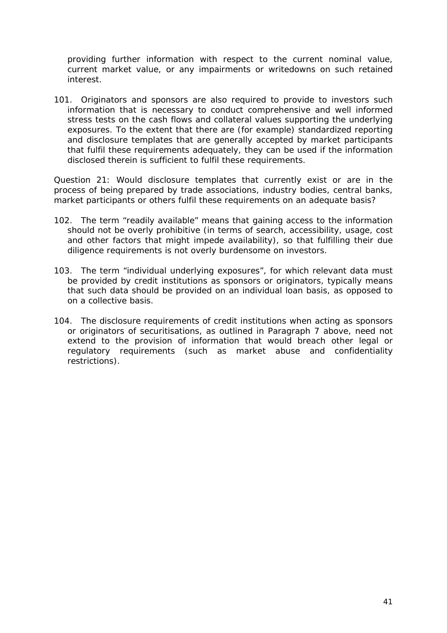providing further information with respect to the current nominal value, current market value, or any impairments or writedowns on such retained interest.

101. Originators and sponsors are also required to provide to investors such information that is necessary to conduct comprehensive and well informed stress tests on the cash flows and collateral values supporting the underlying exposures. To the extent that there are (for example) standardized reporting and disclosure templates that are generally accepted by market participants that fulfil these requirements adequately, they can be used if the information disclosed therein is sufficient to fulfil these requirements.

*Question 21: Would disclosure templates that currently exist or are in the process of being prepared by trade associations, industry bodies, central banks, market participants or others fulfil these requirements on an adequate basis?* 

- 102. The term "readily available" means that gaining access to the information should not be overly prohibitive (in terms of search, accessibility, usage, cost and other factors that might impede availability), so that fulfilling their due diligence requirements is not overly burdensome on investors.
- 103. The term "individual underlying exposures", for which relevant data must be provided by credit institutions as sponsors or originators, typically means that such data should be provided on an individual loan basis, as opposed to on a collective basis.
- 104. The disclosure requirements of credit institutions when acting as sponsors or originators of securitisations, as outlined in Paragraph 7 above, need not extend to the provision of information that would breach other legal or regulatory requirements (such as market abuse and confidentiality restrictions).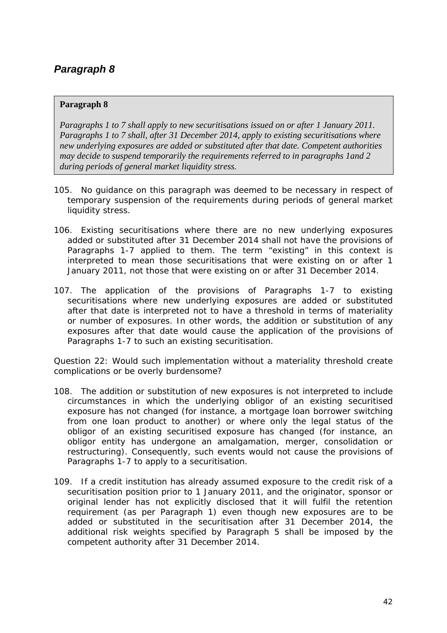#### <span id="page-41-0"></span>**Paragraph 8**

*Paragraphs 1 to 7 shall apply to new securitisations issued on or after 1 January 2011. Paragraphs 1 to 7 shall, after 31 December 2014, apply to existing securitisations where new underlying exposures are added or substituted after that date. Competent authorities may decide to suspend temporarily the requirements referred to in paragraphs 1and 2 during periods of general market liquidity stress.* 

- 105. No guidance on this paragraph was deemed to be necessary in respect of temporary suspension of the requirements during periods of general market liquidity stress.
- 106. Existing securitisations where there are no new underlying exposures added or substituted after 31 December 2014 shall not have the provisions of Paragraphs 1-7 applied to them. The term "existing" in this context is interpreted to mean those securitisations that were existing on or after 1 January 2011, not those that were existing on or after 31 December 2014.
- 107. The application of the provisions of Paragraphs 1-7 to existing securitisations where new underlying exposures are added or substituted after that date is interpreted not to have a threshold in terms of materiality or number of exposures. In other words, the addition or substitution of any exposures after that date would cause the application of the provisions of Paragraphs 1-7 to such an existing securitisation.

*Question 22: Would such implementation without a materiality threshold create complications or be overly burdensome?* 

- 108. The addition or substitution of new exposures is not interpreted to include circumstances in which the underlying obligor of an existing securitised exposure has not changed (for instance, a mortgage loan borrower switching from one loan product to another) or where only the legal status of the obligor of an existing securitised exposure has changed (for instance, an obligor entity has undergone an amalgamation, merger, consolidation or restructuring). Consequently, such events would not cause the provisions of Paragraphs 1-7 to apply to a securitisation.
- 109. If a credit institution has already assumed exposure to the credit risk of a securitisation position prior to 1 January 2011, and the originator, sponsor or original lender has not explicitly disclosed that it will fulfil the retention requirement (as per Paragraph 1) even though new exposures are to be added or substituted in the securitisation after 31 December 2014, the additional risk weights specified by Paragraph 5 shall be imposed by the competent authority after 31 December 2014.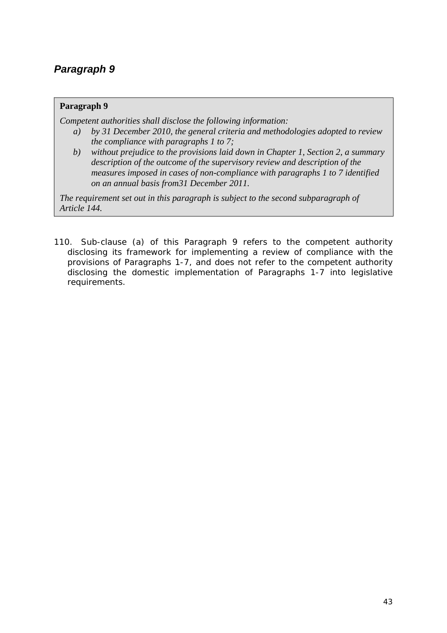#### <span id="page-42-0"></span>**Paragraph 9**

*Competent authorities shall disclose the following information:* 

- *a) by 31 December 2010, the general criteria and methodologies adopted to review the compliance with paragraphs 1 to 7;*
- *b) without prejudice to the provisions laid down in Chapter 1, Section 2, a summary description of the outcome of the supervisory review and description of the measures imposed in cases of non-compliance with paragraphs 1 to 7 identified on an annual basis from31 December 2011.*

*The requirement set out in this paragraph is subject to the second subparagraph of Article 144.* 

110. Sub-clause (a) of this Paragraph 9 refers to the competent authority disclosing its framework for implementing a review of compliance with the provisions of Paragraphs 1-7, and does not refer to the competent authority disclosing the domestic implementation of Paragraphs 1-7 into legislative requirements.